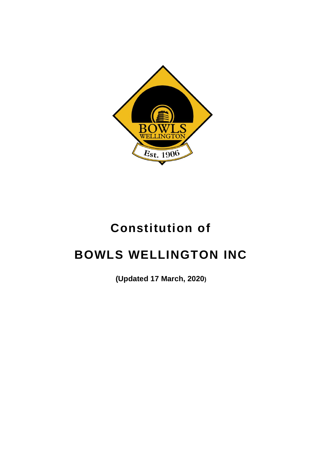

# **Constitution of**

# **BOWLS WELLINGTON INC**

**(Updated 17 March, 2020)**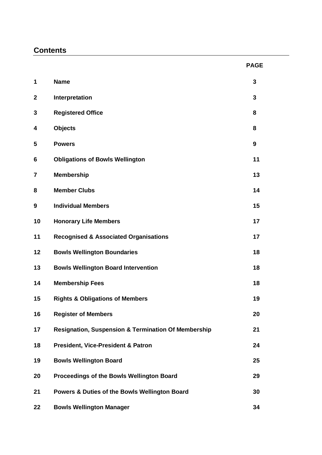# **Contents**

|                         |                                                                | <b>PAGE</b> |
|-------------------------|----------------------------------------------------------------|-------------|
| 1                       | <b>Name</b>                                                    | 3           |
| $\mathbf 2$             | Interpretation                                                 | 3           |
| 3                       | <b>Registered Office</b>                                       | 8           |
| 4                       | <b>Objects</b>                                                 | 8           |
| 5                       | <b>Powers</b>                                                  | 9           |
| 6                       | <b>Obligations of Bowls Wellington</b>                         | 11          |
| $\overline{\mathbf{7}}$ | <b>Membership</b>                                              | 13          |
| 8                       | <b>Member Clubs</b>                                            | 14          |
| 9                       | <b>Individual Members</b>                                      | 15          |
| 10                      | <b>Honorary Life Members</b>                                   | 17          |
| 11                      | <b>Recognised &amp; Associated Organisations</b>               | 17          |
| 12                      | <b>Bowls Wellington Boundaries</b>                             | 18          |
| 13                      | <b>Bowls Wellington Board Intervention</b>                     | 18          |
| 14                      | <b>Membership Fees</b>                                         | 18          |
| 15                      | <b>Rights &amp; Obligations of Members</b>                     | 19          |
| 16                      | <b>Register of Members</b>                                     | 20          |
| 17                      | <b>Resignation, Suspension &amp; Termination Of Membership</b> | 21          |
| 18                      | <b>President, Vice-President &amp; Patron</b>                  | 24          |
| 19                      | <b>Bowls Wellington Board</b>                                  | 25          |
| 20                      | Proceedings of the Bowls Wellington Board                      | 29          |
| 21                      | Powers & Duties of the Bowls Wellington Board                  | 30          |
| 22                      | <b>Bowls Wellington Manager</b>                                | 34          |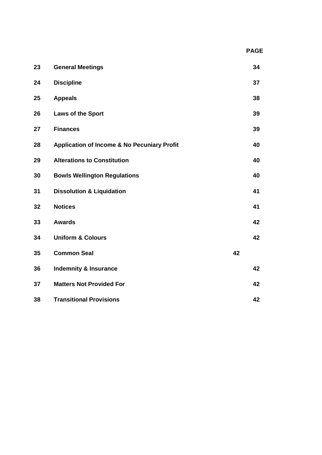| 23 | <b>General Meetings</b>                                |    | 34 |
|----|--------------------------------------------------------|----|----|
| 24 | <b>Discipline</b>                                      |    | 37 |
| 25 | <b>Appeals</b>                                         |    | 38 |
| 26 | Laws of the Sport                                      |    | 39 |
| 27 | <b>Finances</b>                                        |    | 39 |
| 28 | <b>Application of Income &amp; No Pecuniary Profit</b> |    | 40 |
| 29 | <b>Alterations to Constitution</b>                     |    | 40 |
| 30 | <b>Bowls Wellington Regulations</b>                    |    | 40 |
| 31 | <b>Dissolution &amp; Liquidation</b>                   |    | 41 |
| 32 | <b>Notices</b>                                         |    | 41 |
| 33 | <b>Awards</b>                                          |    | 42 |
| 34 | <b>Uniform &amp; Colours</b>                           |    | 42 |
| 35 | <b>Common Seal</b>                                     | 42 |    |
| 36 | <b>Indemnity &amp; Insurance</b>                       |    | 42 |
| 37 | <b>Matters Not Provided For</b>                        |    | 42 |
| 38 | <b>Transitional Provisions</b>                         |    | 42 |

 **PAGE**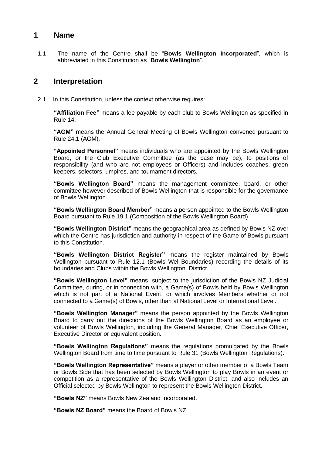# **1 Name**

1.1 The name of the Centre shall be "**Bowls Wellington Incorporated**", which is abbreviated in this Constitution as "**Bowls Wellington**".

# **2 Interpretation**

2.1 In this Constitution, unless the context otherwise requires:

**"Affiliation Fee"** means a fee payable by each club to Bowls Wellington as specified in Rule 14.

**"AGM"** means the Annual General Meeting of Bowls Wellington convened pursuant to Rule 24.1 (AGM).

**"Appointed Personnel"** means individuals who are appointed by the Bowls Wellington Board, or the Club Executive Committee (as the case may be), to positions of responsibility (and who are not employees or Officers) and includes coaches, green keepers, selectors, umpires, and tournament directors.

**"Bowls Wellington Board"** means the management committee, board, or other committee however described of Bowls Wellington that is responsible for the governance of Bowls Wellington

**"Bowls Wellington Board Member"** means a person appointed to the Bowls Wellington Board pursuant to Rule 19.1 (Composition of the Bowls Wellington Board).

**"Bowls Wellington District"** means the geographical area as defined by Bowls NZ over which the Centre has jurisdiction and authority in respect of the Game of Bowls pursuant to this Constitution.

**"Bowls Wellington District Register"** means the register maintained by Bowls Wellington pursuant to Rule 12.1 (Bowls Wel Boundaries) recording the details of its boundaries and Clubs within the Bowls Wellington District.

**"Bowls Wellington Level"** means, subject to the jurisdiction of the Bowls NZ Judicial Committee, during, or in connection with, a Game(s) of Bowls held by Bowls Wellington which is not part of a National Event, or which involves Members whether or not connected to a Game(s) of Bowls, other than at National Level or International Level.

**"Bowls Wellington Manager"** means the person appointed by the Bowls Wellington Board to carry out the directions of the Bowls Wellington Board as an employee or volunteer of Bowls Wellington, including the General Manager, Chief Executive Officer, Executive Director or equivalent position.

**"Bowls Wellington Regulations"** means the regulations promulgated by the Bowls Wellington Board from time to time pursuant to Rule 31 (Bowls Wellington Regulations).

**"Bowls Wellington Representative"** means a player or other member of a Bowls Team or Bowls Side that has been selected by Bowls Wellington to play Bowls in an event or competition as a representative of the Bowls Wellington District, and also includes an Official selected by Bowls Wellington to represent the Bowls Wellington District.

**"Bowls NZ"** means Bowls New Zealand Incorporated.

**"Bowls NZ Board"** means the Board of Bowls NZ.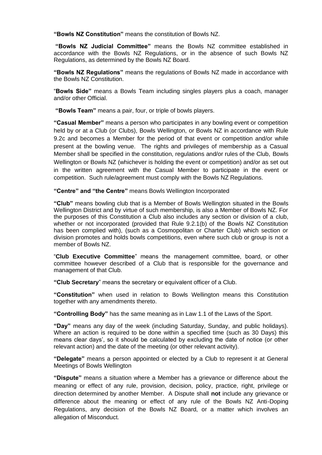**"Bowls NZ Constitution"** means the constitution of Bowls NZ.

**"Bowls NZ Judicial Committee"** means the Bowls NZ committee established in accordance with the Bowls NZ Regulations, or in the absence of such Bowls NZ Regulations, as determined by the Bowls NZ Board.

**"Bowls NZ Regulations"** means the regulations of Bowls NZ made in accordance with the Bowls NZ Constitution.

"**Bowls Side"** means a Bowls Team including singles players plus a coach, manager and/or other Official.

**"Bowls Team"** means a pair, four, or triple of bowls players.

**"Casual Member"** means a person who participates in any bowling event or competition held by or at a Club (or Clubs), Bowls Wellington, or Bowls NZ in accordance with Rule 9.[2c](#page-16-0) and becomes a Member for the period of that event or competition and/or while present at the bowling venue. The rights and privileges of membership as a Casual Member shall be specified in the constitution, regulations and/or rules of the Club, Bowls Wellington or Bowls NZ (whichever is holding the event or competition) and/or as set out in the written agreement with the Casual Member to participate in the event or competition. Such rule/agreement must comply with the Bowls NZ Regulations.

**"Centre" and "the Centre"** means Bowls Wellington Incorporated

**"Club"** means bowling club that is a Member of Bowls Wellington situated in the Bowls Wellington District and by virtue of such membership, is also a Member of Bowls NZ. For the purposes of this Constitution a Club also includes any section or division of a club, whether or not incorporated (provided that Rule 9.2.1(b) of the Bowls NZ Constitution has been complied with), (such as a Cosmopolitan or Charter Club) which section or division promotes and holds bowls competitions, even where such club or group is not a member of Bowls NZ.

"**Club Executive Committee**" means the management committee, board, or other committee however described of a Club that is responsible for the governance and management of that Club.

**"Club Secretary**" means the secretary or equivalent officer of a Club.

**"Constitution"** when used in relation to Bowls Wellington means this Constitution together with any amendments thereto.

**"Controlling Body"** has the same meaning as in Law 1.1 of the Laws of the Sport.

**"Day"** means any day of the week (including Saturday, Sunday, and public holidays). Where an action is required to be done within a specified time (such as 30 Days) this means clear days', so it should be calculated by excluding the date of notice (or other relevant action) and the date of the meeting (or other relevant activity).

**"Delegate"** means a person appointed or elected by a Club to represent it at General Meetings of Bowls Wellington

**"Dispute"** means a situation where a Member has a grievance or difference about the meaning or effect of any rule, provision, decision, policy, practice, right, privilege or direction determined by another Member. A Dispute shall **not** include any grievance or difference about the meaning or effect of any rule of the Bowls NZ Anti-Doping Regulations, any decision of the Bowls NZ Board, or a matter which involves an allegation of Misconduct.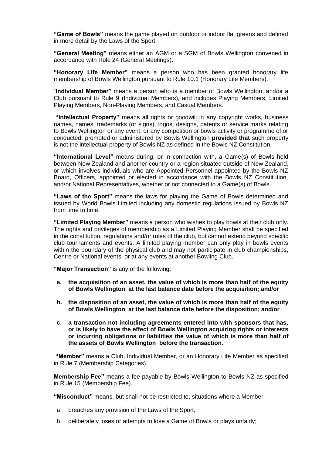**"Game of Bowls"** means the game played on outdoor or indoor flat greens and defined in more detail by the Laws of the Sport.

**"General Meeting"** means either an AGM or a SGM of Bowls Wellington convened in accordance with Rule 24 (General Meetings).

**"Honorary Life Member"** means a person who has been granted honorary life membership of Bowls Wellington pursuant to Rule 10.1 (Honorary Life Members).

"**Individual Member"** means a person who is a member of Bowls Wellington, and/or a Club pursuant to Rule 9 (Individual Members), and includes Playing Members, Limited Playing Members, Non-Playing Members, and Casual Members.

**"Intellectual Property"** means all rights or goodwill in any copyright works, business names, names, trademarks (or signs), logos, designs, patents or service marks relating to Bowls Wellington or any event, or any competition or bowls activity or programme of or conducted, promoted or administered by Bowls Wellington **provided that** such property is not the intellectual property of Bowls NZ as defined in the Bowls NZ Constitution.

**"International Level"** means during, or in connection with, a Game(s) of Bowls held between New Zealand and another country or a region situated outside of New Zealand, or which involves individuals who are Appointed Personnel appointed by the Bowls NZ Board, Officers, appointed or elected in accordance with the Bowls NZ Constitution, and/or National Representatives, whether or not connected to a Game(s) of Bowls.

**"Laws of the Sport"** means the laws for playing the Game of Bowls determined and issued by World Bowls Limited including any domestic regulations issued by Bowls NZ from time to time.

**"Limited Playing Member"** means a person who wishes to play bowls at their club only. The rights and privileges of membership as a Limited Playing Member shall be specified in the constitution, regulations and/or rules of the club, but cannot extend beyond specific club tournaments and events. A limited playing member can only play in bowls events within the boundary of the physical club and may not participate in club championships, Centre or National events, or at any events at another Bowling Club.

**"Major Transaction"** is any of the following:

- **a. the acquisition of an asset, the value of which is more than half of the equity of Bowls Wellington at the last balance date before the acquisition; and/or**
- **b. the disposition of an asset, the value of which is more than half of the equity of Bowls Wellington at the last balance date before the disposition; and/or**
- **c. a transaction not including agreements entered into with sponsors that has, or is likely to have the effect of Bowls Wellington acquiring rights or interests or incurring obligations or liabilities the value of which is more than half of the assets of Bowls Wellington before the transaction.**

**"Member"** means a Club, Individual Member, or an Honorary Life Member as specified in Rule 7 (Membership Categories).

**Membership Fee"** means a fee payable by Bowls Wellington to Bowls NZ as specified in Rule 15 (Membership Fee).

**"Misconduct"** means, but shall not be restricted to, situations where a Member:

- a. breaches any provision of the Laws of the Sport;
- b. deliberately loses or attempts to lose a Game of Bowls or plays unfairly;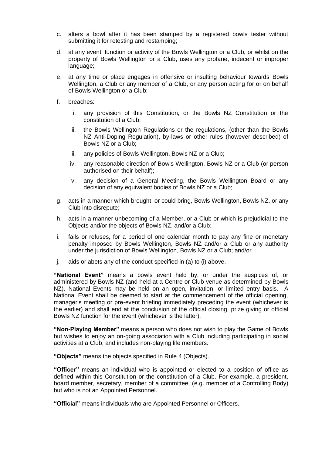- c. alters a bowl after it has been stamped by a registered bowls tester without submitting it for retesting and restamping;
- d. at any event, function or activity of the Bowls Wellington or a Club, or whilst on the property of Bowls Wellington or a Club, uses any profane, indecent or improper language;
- e. at any time or place engages in offensive or insulting behaviour towards Bowls Wellington, a Club or any member of a Club, or any person acting for or on behalf of Bowls Wellington or a Club;
- f. breaches:
	- i. any provision of this Constitution, or the Bowls NZ Constitution or the constitution of a Club;
	- ii. the Bowls Wellington Regulations or the regulations, (other than the Bowls NZ Anti-Doping Regulation), by-laws or other rules (however described) of Bowls NZ or a Club;
	- iii. any policies of Bowls Wellington, Bowls NZ or a Club;
	- iv. any reasonable direction of Bowls Wellington, Bowls NZ or a Club (or person authorised on their behalf);
	- v. any decision of a General Meeting, the Bowls Wellington Board or any decision of any equivalent bodies of Bowls NZ or a Club;
- g. acts in a manner which brought, or could bring, Bowls Wellington, Bowls NZ, or any Club into disrepute;
- h. acts in a manner unbecoming of a Member, or a Club or which is prejudicial to the Objects and/or the objects of Bowls NZ, and/or a Club;
- i. fails or refuses, for a period of one calendar month to pay any fine or monetary penalty imposed by Bowls Wellington, Bowls NZ and/or a Club or any authority under the jurisdiction of Bowls Wellington, Bowls NZ or a Club; and/or
- j. aids or abets any of the conduct specified in (a) to (i) above.

**"National Event"** means a bowls event held by, or under the auspices of, or administered by Bowls NZ (and held at a Centre or Club venue as determined by Bowls NZ). National Events may be held on an open, invitation, or limited entry basis. A National Event shall be deemed to start at the commencement of the official opening, manager's meeting or pre-event briefing immediately preceding the event (whichever is the earlier) and shall end at the conclusion of the official closing, prize giving or official Bowls NZ function for the event (whichever is the latter).

**"Non-Playing Member"** means a person who does not wish to play the Game of Bowls but wishes to enjoy an on-going association with a Club including participating in social activities at a Club, and includes non-playing life members.

**"Objects"** means the objects specified in Rule 4 (Objects).

**"Officer"** means an individual who is appointed or elected to a position of office as defined within this Constitution or the constitution of a Club. For example, a president, board member, secretary, member of a committee, (e.g. member of a Controlling Body) but who is not an Appointed Personnel.

**"Official"** means individuals who are Appointed Personnel or Officers.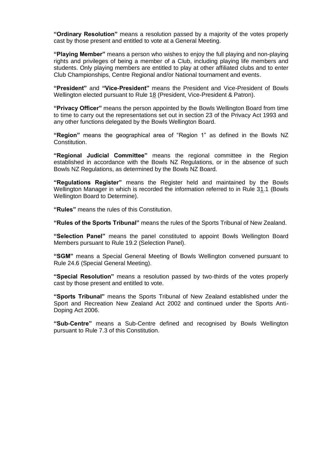**"Ordinary Resolution"** means a resolution passed by a majority of the votes properly cast by those present and entitled to vote at a General Meeting.

**"Playing Member"** means a person who wishes to enjoy the full playing and non-playing rights and privileges of being a member of a Club, including playing life members and students. Only playing members are entitled to play at other affiliated clubs and to enter Club Championships, Centre Regional and/or National tournament and events.

**"President"** and **"Vice-President"** means the President and Vice-President of Bowls Wellington elected pursuant to Rule 18 (President, Vice-President & Patron).

**"Privacy Officer"** means the person appointed by the Bowls Wellington Board from time to time to carry out the representations set out in section 23 of the Privacy Act 1993 and any other functions delegated by the Bowls Wellington Board.

**"Region"** means the geographical area of "Region 1" as defined in the Bowls NZ Constitution.

**"Regional Judicial Committee"** means the regional committee in the Region established in accordance with the Bowls NZ Regulations, or in the absence of such Bowls NZ Regulations, as determined by the Bowls NZ Board.

**"Regulations Register"** means the Register held and maintained by the Bowls Wellington Manager in which is recorded the information referred to in Rule 31.1 (Bowls Wellington Board to Determine).

**"Rules"** means the rules of this Constitution.

**"Rules of the Sports Tribunal"** means the rules of the Sports Tribunal of New Zealand.

**"Selection Panel"** means the panel constituted to appoint Bowls Wellington Board Members pursuant to Rule 19.2 (Selection Panel).

**"SGM"** means a Special General Meeting of Bowls Wellington convened pursuant to Rule 24.6 (Special General Meeting).

**"Special Resolution"** means a resolution passed by two-thirds of the votes properly cast by those present and entitled to vote.

**"Sports Tribunal"** means the Sports Tribunal of New Zealand established under the Sport and Recreation New Zealand Act 2002 and continued under the Sports Anti-Doping Act 2006.

**"Sub-Centre"** means a Sub-Centre defined and recognised by Bowls Wellington pursuant to Rule 7.3 of this Constitution.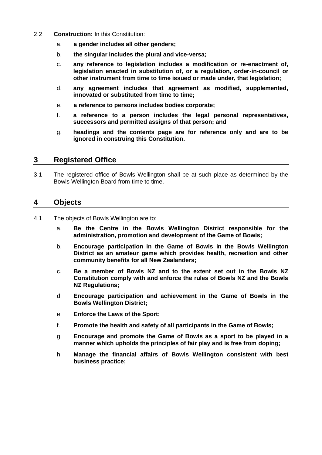- 2.2 **Construction:** In this Constitution:
	- a. **a gender includes all other genders;**
	- b. **the singular includes the plural and vice-versa;**
	- c. **any reference to legislation includes a modification or re-enactment of, legislation enacted in substitution of, or a regulation, order-in-council or other instrument from time to time issued or made under, that legislation;**
	- d. **any agreement includes that agreement as modified, supplemented, innovated or substituted from time to time;**
	- e. **a reference to persons includes bodies corporate;**
	- f. **a reference to a person includes the legal personal representatives, successors and permitted assigns of that person; and**
	- g. **headings and the contents page are for reference only and are to be ignored in construing this Constitution.**

# **3 Registered Office**

3.1 The registered office of Bowls Wellington shall be at such place as determined by the Bowls Wellington Board from time to time.

# **4 Objects**

- 4.1 The objects of Bowls Wellington are to:
	- a. **Be the Centre in the Bowls Wellington District responsible for the administration, promotion and development of the Game of Bowls;**
	- b. **Encourage participation in the Game of Bowls in the Bowls Wellington District as an amateur game which provides health, recreation and other community benefits for all New Zealanders;**
	- c. **Be a member of Bowls NZ and to the extent set out in the Bowls NZ Constitution comply with and enforce the rules of Bowls NZ and the Bowls NZ Regulations;**
	- d. **Encourage participation and achievement in the Game of Bowls in the Bowls Wellington District;**
	- e. **Enforce the Laws of the Sport;**
	- f. **Promote the health and safety of all participants in the Game of Bowls;**
	- g. **Encourage and promote the Game of Bowls as a sport to be played in a manner which upholds the principles of fair play and is free from doping;**
	- h. **Manage the financial affairs of Bowls Wellington consistent with best business practice;**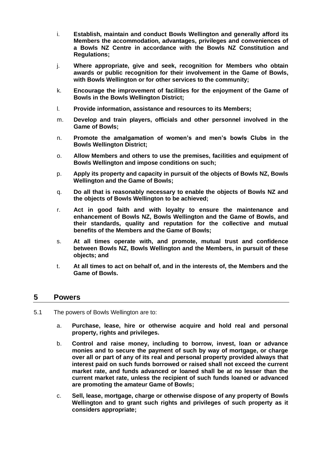- i. **Establish, maintain and conduct Bowls Wellington and generally afford its Members the accommodation, advantages, privileges and conveniences of a Bowls NZ Centre in accordance with the Bowls NZ Constitution and Regulations;**
- j. **Where appropriate, give and seek, recognition for Members who obtain awards or public recognition for their involvement in the Game of Bowls, with Bowls Wellington or for other services to the community;**
- k. **Encourage the improvement of facilities for the enjoyment of the Game of Bowls in the Bowls Wellington District;**
- l. **Provide information, assistance and resources to its Members;**
- m. **Develop and train players, officials and other personnel involved in the Game of Bowls;**
- n. **Promote the amalgamation of women's and men's bowls Clubs in the Bowls Wellington District;**
- o. **Allow Members and others to use the premises, facilities and equipment of Bowls Wellington and impose conditions on such;**
- p. **Apply its property and capacity in pursuit of the objects of Bowls NZ, Bowls Wellington and the Game of Bowls;**
- q. **Do all that is reasonably necessary to enable the objects of Bowls NZ and the objects of Bowls Wellington to be achieved;**
- r. **Act in good faith and with loyalty to ensure the maintenance and enhancement of Bowls NZ, Bowls Wellington and the Game of Bowls, and their standards, quality and reputation for the collective and mutual benefits of the Members and the Game of Bowls;**
- s. **At all times operate with, and promote, mutual trust and confidence between Bowls NZ, Bowls Wellington and the Members, in pursuit of these objects; and**
- t. **At all times to act on behalf of, and in the interests of, the Members and the Game of Bowls.**

# **5 Powers**

- 5.1 The powers of Bowls Wellington are to:
	- a. **Purchase, lease, hire or otherwise acquire and hold real and personal property, rights and privileges.**
	- b. **Control and raise money, including to borrow, invest, loan or advance monies and to secure the payment of such by way of mortgage, or charge over all or part of any of its real and personal property provided always that interest paid on such funds borrowed or raised shall not exceed the current market rate, and funds advanced or loaned shall be at no lesser than the current market rate, unless the recipient of such funds loaned or advanced are promoting the amateur Game of Bowls;**
	- c. **Sell, lease, mortgage, charge or otherwise dispose of any property of Bowls Wellington and to grant such rights and privileges of such property as it considers appropriate;**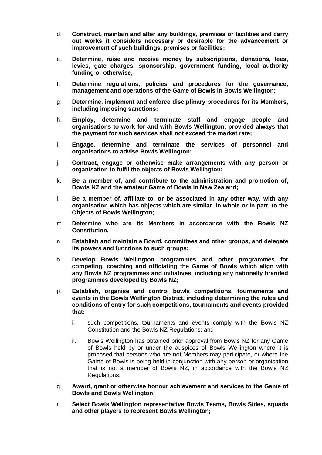- d. **Construct, maintain and alter any buildings, premises or facilities and carry out works it considers necessary or desirable for the advancement or improvement of such buildings, premises or facilities;**
- e. **Determine, raise and receive money by subscriptions, donations, fees, levies, gate charges, sponsorship, government funding, local authority funding or otherwise;**
- f. **Determine regulations, policies and procedures for the governance, management and operations of the Game of Bowls in Bowls Wellington;**
- g. **Determine, implement and enforce disciplinary procedures for its Members, including imposing sanctions;**
- h. **Employ, determine and terminate staff and engage people and organisations to work for and with Bowls Wellington, provided always that the payment for such services shall not exceed the market rate;**
- i. **Engage, determine and terminate the services of personnel and organisations to advise Bowls Wellington;**
- j. **Contract, engage or otherwise make arrangements with any person or organisation to fulfil the objects of Bowls Wellington;**
- k. **Be a member of, and contribute to the administration and promotion of, Bowls NZ and the amateur Game of Bowls in New Zealand;**
- l. **Be a member of, affiliate to, or be associated in any other way, with any organisation which has objects which are similar, in whole or in part, to the Objects of Bowls Wellington;**
- m. **Determine who are its Members in accordance with the Bowls NZ Constitution,**
- n. **Establish and maintain a Board, committees and other groups, and delegate its powers and functions to such groups;**
- o. **Develop Bowls Wellington programmes and other programmes for competing, coaching and officiating the Game of Bowls which align with any Bowls NZ programmes and initiatives, including any nationally branded programmes developed by Bowls NZ;**
- p. **Establish, organise and control bowls competitions, tournaments and events in the Bowls Wellington District, including determining the rules and conditions of entry for such competitions, tournaments and events provided that:**
	- i. such competitions, tournaments and events comply with the Bowls NZ Constitution and the Bowls NZ Regulations; and
	- ii. Bowls Wellington has obtained prior approval from Bowls NZ for any Game of Bowls held by or under the auspices of Bowls Wellington where it is proposed that persons who are not Members may participate, or where the Game of Bowls is being held in conjunction with any person or organisation that is not a member of Bowls NZ, in accordance with the Bowls NZ Regulations;
- q. **Award, grant or otherwise honour achievement and services to the Game of Bowls and Bowls Wellington;**
- r. **Select Bowls Wellington representative Bowls Teams, Bowls Sides, squads and other players to represent Bowls Wellington;**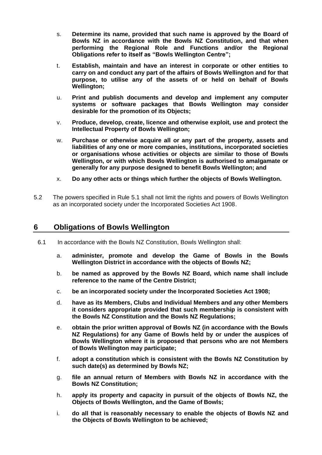- s. **Determine its name, provided that such name is approved by the Board of Bowls NZ in accordance with the Bowls NZ Constitution, and that when performing the Regional Role and Functions and/or the Regional Obligations refer to itself as "Bowls Wellington Centre";**
- t. **Establish, maintain and have an interest in corporate or other entities to carry on and conduct any part of the affairs of Bowls Wellington and for that purpose, to utilise any of the assets of or held on behalf of Bowls Wellington;**
- u. **Print and publish documents and develop and implement any computer systems or software packages that Bowls Wellington may consider desirable for the promotion of its Objects;**
- v. **Produce, develop, create, licence and otherwise exploit, use and protect the Intellectual Property of Bowls Wellington;**
- w. **Purchase or otherwise acquire all or any part of the property, assets and liabilities of any one or more companies, institutions, incorporated societies or organisations whose activities or objects are similar to those of Bowls Wellington, or with which Bowls Wellington is authorised to amalgamate or generally for any purpose designed to benefit Bowls Wellington; and**
- x. **Do any other acts or things which further the objects of Bowls Wellington.**
- 5.2 The powers specified in Rule 5.1 shall not limit the rights and powers of Bowls Wellington as an incorporated society under the Incorporated Societies Act 1908.

# **6 Obligations of Bowls Wellington**

- 6.1 In accordance with the Bowls NZ Constitution, Bowls Wellington shall:
	- a. **administer, promote and develop the Game of Bowls in the Bowls Wellington District in accordance with the objects of Bowls NZ;**
	- b. **be named as approved by the Bowls NZ Board, which name shall include reference to the name of the Centre District;**
	- c. **be an incorporated society under the Incorporated Societies Act 1908;**
	- d. **have as its Members, Clubs and Individual Members and any other Members it considers appropriate provided that such membership is consistent with the Bowls NZ Constitution and the Bowls NZ Regulations;**
	- e. **obtain the prior written approval of Bowls NZ (in accordance with the Bowls NZ Regulations) for any Game of Bowls held by or under the auspices of Bowls Wellington where it is proposed that persons who are not Members of Bowls Wellington may participate;**
	- f. **adopt a constitution which is consistent with the Bowls NZ Constitution by such date(s) as determined by Bowls NZ;**
	- g. **file an annual return of Members with Bowls NZ in accordance with the Bowls NZ Constitution;**
	- h. **apply its property and capacity in pursuit of the objects of Bowls NZ, the Objects of Bowls Wellington, and the Game of Bowls;**
	- i. **do all that is reasonably necessary to enable the objects of Bowls NZ and the Objects of Bowls Wellington to be achieved;**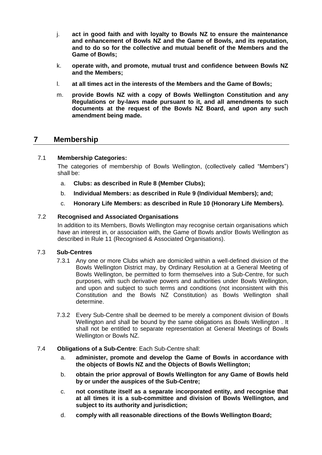- j. **act in good faith and with loyalty to Bowls NZ to ensure the maintenance and enhancement of Bowls NZ and the Game of Bowls, and its reputation, and to do so for the collective and mutual benefit of the Members and the Game of Bowls;**
- k. **operate with, and promote, mutual trust and confidence between Bowls NZ and the Members;**
- l. **at all times act in the interests of the Members and the Game of Bowls;**
- m. **provide Bowls NZ with a copy of Bowls Wellington Constitution and any Regulations or by-laws made pursuant to it, and all amendments to such documents at the request of the Bowls NZ Board, and upon any such amendment being made.**

# **7 Membership**

# 7.1 **Membership Categories:**

The categories of membership of Bowls Wellington, (collectively called "Members") shall be:

- a. **Clubs: as described in Rule 8 (Member Clubs);**
- b. **Individual Members: as described in Rule 9 (Individual Members); and;**
- c. **Honorary Life Members: as described in Rule 10 (Honorary Life Members).**

# 7.2 **Recognised and Associated Organisations**

In addition to its Members, Bowls Wellington may recognise certain organisations which have an interest in, or association with, the Game of Bowls and/or Bowls Wellington as described in Rule 11 (Recognised & Associated Organisations).

# 7.3 **Sub-Centres**

- 7.3.1 Any one or more Clubs which are domiciled within a well-defined division of the Bowls Wellington District may, by Ordinary Resolution at a General Meeting of Bowls Wellington, be permitted to form themselves into a Sub-Centre, for such purposes, with such derivative powers and authorities under Bowls Wellington, and upon and subject to such terms and conditions (not inconsistent with this Constitution and the Bowls NZ Constitution) as Bowls Wellington shall determine.
- 7.3.2 Every Sub-Centre shall be deemed to be merely a component division of Bowls Wellington and shall be bound by the same obligations as Bowls Wellington . It shall not be entitled to separate representation at General Meetings of Bowls Wellington or Bowls NZ.
- 7.4 **Obligations of a Sub-Centre**: Each Sub-Centre shall:
	- a. **administer, promote and develop the Game of Bowls in accordance with the objects of Bowls NZ and the Objects of Bowls Wellington;**
	- b. **obtain the prior approval of Bowls Wellington for any Game of Bowls held by or under the auspices of the Sub-Centre;**
	- c. **not constitute itself as a separate incorporated entity, and recognise that at all times it is a sub-committee and division of Bowls Wellington, and subject to its authority and jurisdiction;**
	- d. **comply with all reasonable directions of the Bowls Wellington Board;**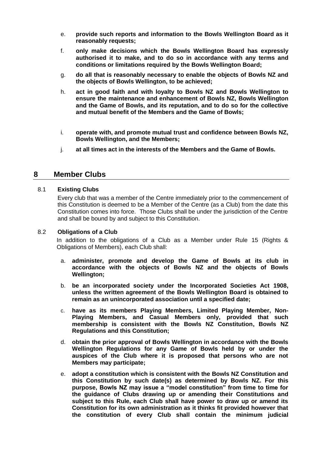- e. **provide such reports and information to the Bowls Wellington Board as it reasonably requests;**
- f. **only make decisions which the Bowls Wellington Board has expressly authorised it to make, and to do so in accordance with any terms and conditions or limitations required by the Bowls Wellington Board;**
- g. **do all that is reasonably necessary to enable the objects of Bowls NZ and the objects of Bowls Wellington, to be achieved;**
- h. **act in good faith and with loyalty to Bowls NZ and Bowls Wellington to ensure the maintenance and enhancement of Bowls NZ, Bowls Wellington and the Game of Bowls, and its reputation, and to do so for the collective and mutual benefit of the Members and the Game of Bowls;**
- i. **operate with, and promote mutual trust and confidence between Bowls NZ, Bowls Wellington, and the Members;**
- j. **at all times act in the interests of the Members and the Game of Bowls.**

# **8 Member Clubs**

# 8.1 **Existing Clubs**

Every club that was a member of the Centre immediately prior to the commencement of this Constitution is deemed to be a Member of the Centre (as a Club) from the date this Constitution comes into force. Those Clubs shall be under the jurisdiction of the Centre and shall be bound by and subject to this Constitution.

# 8.2 **Obligations of a Club**

In addition to the obligations of a Club as a Member under Rule 15 (Rights & Obligations of Members), each Club shall:

- a. **administer, promote and develop the Game of Bowls at its club in accordance with the objects of Bowls NZ and the objects of Bowls Wellington;**
- b. **be an incorporated society under the Incorporated Societies Act 1908, unless the written agreement of the Bowls Wellington Board is obtained to remain as an unincorporated association until a specified date;**
- c. **have as its members Playing Members, Limited Playing Member, Non-Playing Members, and Casual Members only, provided that such membership is consistent with the Bowls NZ Constitution, Bowls NZ Regulations and this Constitution;**
- d. **obtain the prior approval of Bowls Wellington in accordance with the Bowls Wellington Regulations for any Game of Bowls held by or under the auspices of the Club where it is proposed that persons who are not Members may participate;**
- e. **adopt a constitution which is consistent with the Bowls NZ Constitution and this Constitution by such date(s) as determined by Bowls NZ. For this purpose, Bowls NZ may issue a "model constitution" from time to time for the guidance of Clubs drawing up or amending their Constitutions and subject to this Rule, each Club shall have power to draw up or amend its Constitution for its own administration as it thinks fit provided however that the constitution of every Club shall contain the minimum judicial**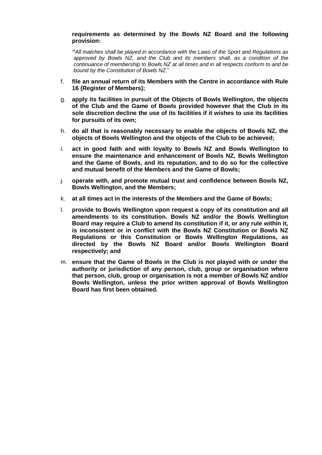#### **requirements as determined by the Bowls NZ Board and the following provision:**

**"***All matches shall be played in accordance with the Laws of the Sport and Regulations as approved by Bowls NZ, and the Club and its members shall, as a condition of the continuance of membership to Bowls NZ at all times and in all respects conform to and be bound by the Constitution of Bowls NZ.*"

- f. **file an annual return of its Members with the Centre in accordance with Rule 16 (Register of Members);**
- g. **apply its facilities in pursuit of the Objects of Bowls Wellington, the objects of the Club and the Game of Bowls provided however that the Club in its sole discretion decline the use of its facilities if it wishes to use its facilities for pursuits of its own;**
- h. **do all that is reasonably necessary to enable the objects of Bowls NZ, the objects of Bowls Wellington and the objects of the Club to be achieved;**
- i. **act in good faith and with loyalty to Bowls NZ and Bowls Wellington to ensure the maintenance and enhancement of Bowls NZ, Bowls Wellington and the Game of Bowls, and its reputation, and to do so for the collective and mutual benefit of the Members and the Game of Bowls;**
- j. **operate with, and promote mutual trust and confidence between Bowls NZ, Bowls Wellington, and the Members;**
- k. **at all times act in the interests of the Members and the Game of Bowls;**
- l. **provide to Bowls Wellington upon request a copy of its constitution and all amendments to its constitution. Bowls NZ and/or the Bowls Wellington Board may require a Club to amend its constitution if it, or any rule within it, is inconsistent or in conflict with the Bowls NZ Constitution or Bowls NZ Regulations or this Constitution or Bowls Wellington Regulations, as directed by the Bowls NZ Board and/or Bowls Wellington Board respectively; and**
- m. **ensure that the Game of Bowls in the Club is not played with or under the authority or jurisdiction of any person, club, group or organisation where that person, club, group or organisation is not a member of Bowls NZ and/or Bowls Wellington, unless the prior written approval of Bowls Wellington Board has first been obtained.**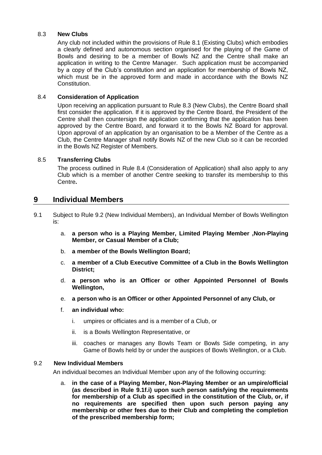### 8.3 **New Clubs**

Any club not included within the provisions of Rule 8.1 (Existing Clubs) which embodies a clearly defined and autonomous section organised for the playing of the Game of Bowls and desiring to be a member of Bowls NZ and the Centre shall make an application in writing to the Centre Manager. Such application must be accompanied by a copy of the Club's constitution and an application for membership of Bowls NZ, which must be in the approved form and made in accordance with the Bowls NZ Constitution.

### 8.4 **Consideration of Application**

Upon receiving an application pursuant to Rule 8.3 (New Clubs), the Centre Board shall first consider the application. If it is approved by the Centre Board, the President of the Centre shall then countersign the application confirming that the application has been approved by the Centre Board, and forward it to the Bowls NZ Board for approval. Upon approval of an application by an organisation to be a Member of the Centre as a Club, the Centre Manager shall notify Bowls NZ of the new Club so it can be recorded in the Bowls NZ Register of Members.

# 8.5 **Transferring Clubs**

The process outlined in Rule 8.4 (Consideration of Application) shall also apply to any Club which is a member of another Centre seeking to transfer its membership to this Centre**.**

# **9 Individual Members**

- 9.1 Subject to Rule 9.2 (New Individual Members), an Individual Member of Bowls Wellington is:
	- a. **a person who is a Playing Member, Limited Playing Member ,Non-Playing Member, or Casual Member of a Club;**
	- b. **a member of the Bowls Wellington Board;**
	- c. **a member of a Club Executive Committee of a Club in the Bowls Wellington District;**
	- d. **a person who is an Officer or other Appointed Personnel of Bowls Wellington,**
	- e. **a person who is an Officer or other Appointed Personnel of any Club, or**
	- f. **an individual who:**
		- i. umpires or officiates and is a member of a Club, or
		- ii. is a Bowls Wellington Representative, or
		- iii. coaches or manages any Bowls Team or Bowls Side competing, in any Game of Bowls held by or under the auspices of Bowls Wellington, or a Club.

### 9.2 **New Individual Members**

An individual becomes an Individual Member upon any of the following occurring:

a. **in the case of a Playing Member, Non-Playing Member or an umpire/official (as described in Rule 9.1f.i) upon such person satisfying the requirements for membership of a Club as specified in the constitution of the Club, or, if no requirements are specified then upon such person paying any membership or other fees due to their Club and completing the completion of the prescribed membership form;**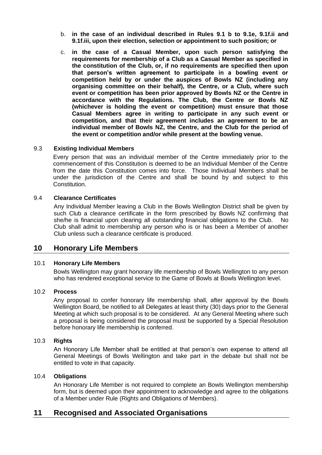- b. **in the case of an individual described in Rules 9.1 b to 9.1e, 9.1f.ii and 9.1f.iii, upon their election, selection or appointment to such position; or**
- <span id="page-16-0"></span>c. **in the case of a Casual Member, upon such person satisfying the requirements for membership of a Club as a Casual Member as specified in the constitution of the Club, or, if no requirements are specified then upon that person's written agreement to participate in a bowling event or competition held by or under the auspices of Bowls NZ (including any organising committee on their behalf), the Centre, or a Club, where such event or competition has been prior approved by Bowls NZ or the Centre in accordance with the Regulations. The Club, the Centre or Bowls NZ (whichever is holding the event or competition) must ensure that those Casual Members agree in writing to participate in any such event or competition, and that their agreement includes an agreement to be an individual member of Bowls NZ, the Centre, and the Club for the period of the event or competition and/or while present at the bowling venue.**

# 9.3 **Existing Individual Members**

Every person that was an individual member of the Centre immediately prior to the commencement of this Constitution is deemed to be an Individual Member of the Centre from the date this Constitution comes into force. Those Individual Members shall be under the jurisdiction of the Centre and shall be bound by and subject to this Constitution.

## 9.4 **Clearance Certificates**

Any Individual Member leaving a Club in the Bowls Wellington District shall be given by such Club a clearance certificate in the form prescribed by Bowls NZ confirming that she/he is financial upon clearing all outstanding financial obligations to the Club. No Club shall admit to membership any person who is or has been a Member of another Club unless such a clearance certificate is produced.

# **10 Honorary Life Members**

#### 10.1 **Honorary Life Members**

Bowls Wellington may grant honorary life membership of Bowls Wellington to any person who has rendered exceptional service to the Game of Bowls at Bowls Wellington level.

#### 10.2 **Process**

Any proposal to confer honorary life membership shall, after approval by the Bowls Wellington Board, be notified to all Delegates at least thirty (30) days prior to the General Meeting at which such proposal is to be considered. At any General Meeting where such a proposal is being considered the proposal must be supported by a Special Resolution before honorary life membership is conferred.

#### 10.3 **Rights**

An Honorary Life Member shall be entitled at that person's own expense to attend all General Meetings of Bowls Wellington and take part in the debate but shall not be entitled to vote in that capacity.

#### 10.4 **Obligations**

An Honorary Life Member is not required to complete an Bowls Wellington membership form, but is deemed upon their appointment to acknowledge and agree to the obligations of a Member under Rule (Rights and Obligations of Members).

# **11 Recognised and Associated Organisations**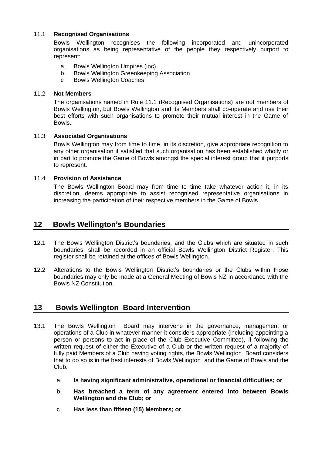# 11.1 **Recognised Organisations**

Bowls Wellington recognises the following incorporated and unincorporated organisations as being representative of the people they respectively purport to represent:

- a Bowls Wellington Umpires (inc)
- b Bowls Wellington Greenkeeping Association
- c Bowls Wellington Coaches

# 11.2 **Not Members**

The organisations named in Rule 11.1 (Recognised Organisations) are not members of Bowls Wellington, but Bowls Wellington and its Members shall co-operate and use their best efforts with such organisations to promote their mutual interest in the Game of Bowls.

# 11.3 **Associated Organisations**

Bowls Wellington may from time to time, in its discretion, give appropriate recognition to any other organisation if satisfied that such organisation has been established wholly or in part to promote the Game of Bowls amongst the special interest group that it purports to represent.

# 11.4 **Provision of Assistance**

The Bowls Wellington Board may from time to time take whatever action it, in its discretion, deems appropriate to assist recognised representative organisations in increasing the participation of their respective members in the Game of Bowls.

# **12 Bowls Wellington's Boundaries**

- 12.1 The Bowls Wellington District's boundaries, and the Clubs which are situated in such boundaries, shall be recorded in an official Bowls Wellington District Register. This register shall be retained at the offices of Bowls Wellington.
- 12.2 Alterations to the Bowls Wellington District's boundaries or the Clubs within those boundaries may only be made at a General Meeting of Bowls NZ in accordance with the Bowls NZ Constitution.

# **13 Bowls Wellington Board Intervention**

- 13.1 The Bowls Wellington Board may intervene in the governance, management or operations of a Club in whatever manner it considers appropriate (including appointing a person or persons to act in place of the Club Executive Committee), if following the written request of either the Executive of a Club or the written request of a majority of fully paid Members of a Club having voting rights, the Bowls Wellington Board considers that to do so is in the best interests of Bowls Wellington and the Game of Bowls and the Club:
	- a. **Is having significant administrative, operational or financial difficulties; or**
	- b. **Has breached a term of any agreement entered into between Bowls Wellington and the Club; or**
	- c. **Has less than fifteen (15) Members; or**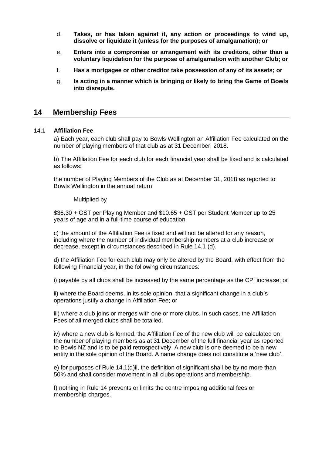- d. **Takes, or has taken against it, any action or proceedings to wind up, dissolve or liquidate it (unless for the purposes of amalgamation); or**
- e. **Enters into a compromise or arrangement with its creditors, other than a voluntary liquidation for the purpose of amalgamation with another Club; or**
- f. **Has a mortgagee or other creditor take possession of any of its assets; or**
- g. **Is acting in a manner which is bringing or likely to bring the Game of Bowls into disrepute.**

# **14 Membership Fees**

#### 14.1 **Affiliation Fee**

a) Each year, each club shall pay to Bowls Wellington an Affiliation Fee calculated on the number of playing members of that club as at 31 December, 2018.

b) The Affiliation Fee for each club for each financial year shall be fixed and is calculated as follows:

the number of Playing Members of the Club as at December 31, 2018 as reported to Bowls Wellington in the annual return

#### Multiplied by

\$36.30 + GST per Playing Member and \$10.65 + GST per Student Member up to 25 years of age and in a full-time course of education.

c) the amount of the Affiliation Fee is fixed and will not be altered for any reason, including where the number of individual membership numbers at a club increase or decrease, except in circumstances described in Rule 14.1 (d).

d) the Affiliation Fee for each club may only be altered by the Board, with effect from the following Financial year, in the following circumstances:

i) payable by all clubs shall be increased by the same percentage as the CPI increase; or

ii) where the Board deems, in its sole opinion, that a significant change in a club's operations justify a change in Affiliation Fee; or

iii) where a club joins or merges with one or more clubs. In such cases, the Affiliation Fees of all merged clubs shall be totalled.

iv) where a new club is formed, the Affiliation Fee of the new club will be calculated on the number of playing members as at 31 December of the full financial year as reported to Bowls NZ and is to be paid retrospectively. A new club is one deemed to be a new entity in the sole opinion of the Board. A name change does not constitute a 'new club'.

e) for purposes of Rule 14.1(d)ii, the definition of significant shall be by no more than 50% and shall consider movement in all clubs operations and membership.

f) nothing in Rule 14 prevents or limits the centre imposing additional fees or membership charges.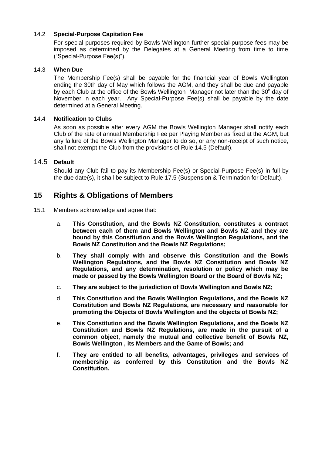# 14.2 **Special-Purpose Capitation Fee**

For special purposes required by Bowls Wellington further special-purpose fees may be imposed as determined by the Delegates at a General Meeting from time to time ("Special-Purpose Fee(s)").

# 14.3 **When Due**

The Membership Fee(s) shall be payable for the financial year of Bowls Wellington ending the 30th day of May which follows the AGM, and they shall be due and payable by each Club at the office of the Bowls Wellington Manager not later than the 30<sup>h</sup> day of November in each year. Any Special-Purpose Fee(s) shall be payable by the date determined at a General Meeting.

# 14.4 **Notification to Clubs**

As soon as possible after every AGM the Bowls Wellington Manager shall notify each Club of the rate of annual Membership Fee per Playing Member as fixed at the AGM, but any failure of the Bowls Wellington Manager to do so, or any non-receipt of such notice, shall not exempt the Club from the provisions of Rule 14.5 (Default).

# 14.5 **Default**

Should any Club fail to pay its Membership Fee(s) or Special-Purpose Fee(s) in full by the due date(s), it shall be subject to Rule 17.5 (Suspension & Termination for Default).

# **15 Rights & Obligations of Members**

- 15.1 Members acknowledge and agree that:
	- a. **This Constitution, and the Bowls NZ Constitution, constitutes a contract between each of them and Bowls Wellington and Bowls NZ and they are bound by this Constitution and the Bowls Wellington Regulations, and the Bowls NZ Constitution and the Bowls NZ Regulations;**
	- b. **They shall comply with and observe this Constitution and the Bowls Wellington Regulations, and the Bowls NZ Constitution and Bowls NZ Regulations, and any determination, resolution or policy which may be made or passed by the Bowls Wellington Board or the Board of Bowls NZ;**
	- c. **They are subject to the jurisdiction of Bowls Wellington and Bowls NZ;**
	- d. **This Constitution and the Bowls Wellington Regulations, and the Bowls NZ Constitution and Bowls NZ Regulations, are necessary and reasonable for promoting the Objects of Bowls Wellington and the objects of Bowls NZ;**
	- e. **This Constitution and the Bowls Wellington Regulations, and the Bowls NZ Constitution and Bowls NZ Regulations, are made in the pursuit of a common object, namely the mutual and collective benefit of Bowls NZ, Bowls Wellington , its Members and the Game of Bowls; and**
	- f. **They are entitled to all benefits, advantages, privileges and services of membership as conferred by this Constitution and the Bowls NZ Constitution.**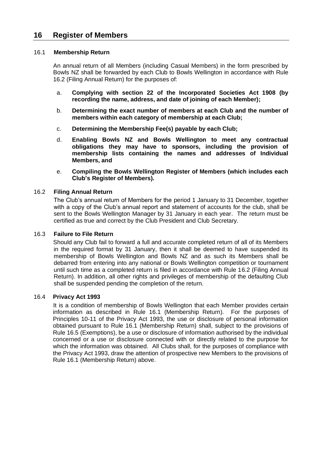# **16 Register of Members**

#### 16.1 **Membership Return**

An annual return of all Members (including Casual Members) in the form prescribed by Bowls NZ shall be forwarded by each Club to Bowls Wellington in accordance with Rule 16.2 (Filing Annual Return) for the purposes of:

- a. **Complying with section 22 of the Incorporated Societies Act 1908 (by recording the name, address, and date of joining of each Member);**
- b. **Determining the exact number of members at each Club and the number of members within each category of membership at each Club;**
- c. **Determining the Membership Fee(s) payable by each Club;**
- d. **Enabling Bowls NZ and Bowls Wellington to meet any contractual obligations they may have to sponsors, including the provision of membership lists containing the names and addresses of Individual Members, and**
- e. **Compiling the Bowls Wellington Register of Members (which includes each Club's Register of Members).**

#### 16.2 **Filing Annual Return**

The Club's annual return of Members for the period 1 January to 31 December, together with a copy of the Club's annual report and statement of accounts for the club, shall be sent to the Bowls Wellington Manager by 31 January in each year. The return must be certified as true and correct by the Club President and Club Secretary.

### 16.3 **Failure to File Return**

Should any Club fail to forward a full and accurate completed return of all of its Members in the required format by 31 January, then it shall be deemed to have suspended its membership of Bowls Wellington and Bowls NZ and as such its Members shall be debarred from entering into any national or Bowls Wellington competition or tournament until such time as a completed return is filed in accordance with Rule 16.2 (Filing Annual Return). In addition, all other rights and privileges of membership of the defaulting Club shall be suspended pending the completion of the return.

#### 16.4 **Privacy Act 1993**

It is a condition of membership of Bowls Wellington that each Member provides certain information as described in Rule 16.1 (Membership Return). For the purposes of Principles 10-11 of the Privacy Act 1993, the use or disclosure of personal information obtained pursuant to Rule 16.1 (Membership Return) shall, subject to the provisions of Rule 16.5 (Exemptions), be a use or disclosure of information authorised by the individual concerned or a use or disclosure connected with or directly related to the purpose for which the information was obtained. All Clubs shall, for the purposes of compliance with the Privacy Act 1993, draw the attention of prospective new Members to the provisions of Rule 16.1 (Membership Return) above.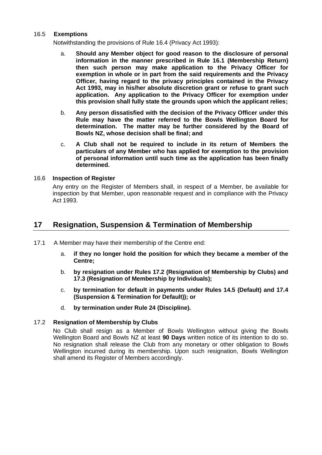#### 16.5 **Exemptions**

Notwithstanding the provisions of Rule 16.4 (Privacy Act 1993):

- a. **Should any Member object for good reason to the disclosure of personal information in the manner prescribed in Rule 16.1 (Membership Return) then such person may make application to the Privacy Officer for exemption in whole or in part from the said requirements and the Privacy Officer, having regard to the privacy principles contained in the Privacy Act 1993, may in his/her absolute discretion grant or refuse to grant such application. Any application to the Privacy Officer for exemption under this provision shall fully state the grounds upon which the applicant relies;**
- b. **Any person dissatisfied with the decision of the Privacy Officer under this Rule may have the matter referred to the Bowls Wellington Board for determination. The matter may be further considered by the Board of Bowls NZ, whose decision shall be final; and**
- c. **A Club shall not be required to include in its return of Members the particulars of any Member who has applied for exemption to the provision of personal information until such time as the application has been finally determined.**

# 16.6 **Inspection of Register**

Any entry on the Register of Members shall, in respect of a Member, be available for inspection by that Member, upon reasonable request and in compliance with the Privacy Act 1993.

# **17 Resignation, Suspension & Termination of Membership**

- 17.1 A Member may have their membership of the Centre end:
	- a. **if they no longer hold the position for which they became a member of the Centre;**
	- b. **by resignation under Rules 17.2 (Resignation of Membership by Clubs) and 17.3 (Resignation of Membership by Individuals);**
	- c. **by termination for default in payments under Rules 14.5 (Default) and 17.4 (Suspension & Termination for Default)); or**
	- d. **by termination under Rule 24 (Discipline).**

# 17.2 **Resignation of Membership by Clubs**

No Club shall resign as a Member of Bowls Wellington without giving the Bowls Wellington Board and Bowls NZ at least **90 Days** written notice of its intention to do so. No resignation shall release the Club from any monetary or other obligation to Bowls Wellington incurred during its membership. Upon such resignation, Bowls Wellington shall amend its Register of Members accordingly.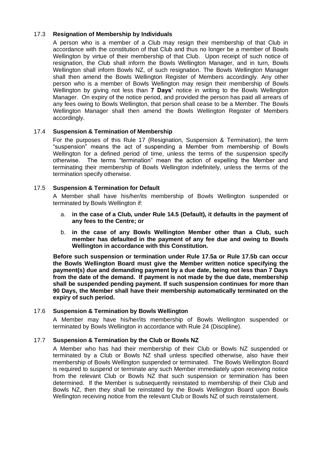# 17.3 **Resignation of Membership by Individuals**

A person who is a member of a Club may resign their membership of that Club in accordance with the constitution of that Club and thus no longer be a member of Bowls Wellington by virtue of their membership of that Club. Upon receipt of such notice of resignation, the Club shall inform the Bowls Wellington Manager, and in turn, Bowls Wellington shall inform Bowls NZ, of such resignation. The Bowls Wellington Manager shall then amend the Bowls Wellington Register of Members accordingly. Any other person who is a member of Bowls Wellington may resign their membership of Bowls Wellington by giving not less than **7 Days'** notice in writing to the Bowls Wellington Manager. On expiry of the notice period, and provided the person has paid all arrears of any fees owing to Bowls Wellington, that person shall cease to be a Member. The Bowls Wellington Manager shall then amend the Bowls Wellington Register of Members accordingly.

# 17.4 **Suspension & Termination of Membership**

For the purposes of this Rule 17 (Resignation, Suspension & Termination), the term "suspension" means the act of suspending a Member from membership of Bowls Wellington for a defined period of time, unless the terms of the suspension specify otherwise. The terms "termination" mean the action of expelling the Member and terminating their membership of Bowls Wellington indefinitely, unless the terms of the termination specify otherwise.

# 17.5 **Suspension & Termination for Default**

A Member shall have his/her/its membership of Bowls Wellington suspended or terminated by Bowls Wellington if:

- a. **in the case of a Club, under Rule 14.5 (Default), it defaults in the payment of any fees to the Centre; or**
- b. **in the case of any Bowls Wellington Member other than a Club, such member has defaulted in the payment of any fee due and owing to Bowls Wellington in accordance with this Constitution.**

**Before such suspension or termination under Rule 17.5a or Rule 17.5b can occur the Bowls Wellington Board must give the Member written notice specifying the payment(s) due and demanding payment by a due date, being not less than 7 Days from the date of the demand. If payment is not made by the due date, membership shall be suspended pending payment. If such suspension continues for more than 90 Days, the Member shall have their membership automatically terminated on the expiry of such period.** 

# 17.6 **Suspension & Termination by Bowls Wellington**

A Member may have his/her/its membership of Bowls Wellington suspended or terminated by Bowls Wellington in accordance with Rule 24 (Discipline).

# 17.7 **Suspension & Termination by the Club or Bowls NZ**

A Member who has had their membership of their Club or Bowls NZ suspended or terminated by a Club or Bowls NZ shall unless specified otherwise, also have their membership of Bowls Wellington suspended or terminated. The Bowls Wellington Board is required to suspend or terminate any such Member immediately upon receiving notice from the relevant Club or Bowls NZ that such suspension or termination has been determined. If the Member is subsequently reinstated to membership of their Club and Bowls NZ, then they shall be reinstated by the Bowls Wellington Board upon Bowls Wellington receiving notice from the relevant Club or Bowls NZ of such reinstatement.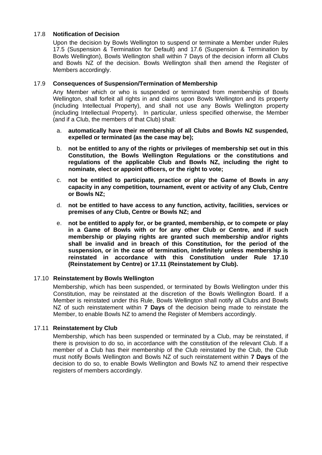# 17.8 **Notification of Decision**

Upon the decision by Bowls Wellington to suspend or terminate a Member under Rules 17.5 (Suspension & Termination for Default) and 17.6 (Suspension & Termination by Bowls Wellington), Bowls Wellington shall within 7 Days of the decision inform all Clubs and Bowls NZ of the decision. Bowls Wellington shall then amend the Register of Members accordingly.

# 17.9 **Consequences of Suspension/Termination of Membership**

Any Member which or who is suspended or terminated from membership of Bowls Wellington, shall forfeit all rights in and claims upon Bowls Wellington and its property (including Intellectual Property), and shall not use any Bowls Wellington property (including Intellectual Property). In particular, unless specified otherwise, the Member (and if a Club, the members of that Club) shall:

- a. **automatically have their membership of all Clubs and Bowls NZ suspended, expelled or terminated (as the case may be);**
- b. **not be entitled to any of the rights or privileges of membership set out in this Constitution, the Bowls Wellington Regulations or the constitutions and regulations of the applicable Club and Bowls NZ, including the right to nominate, elect or appoint officers, or the right to vote;**
- c. **not be entitled to participate, practice or play the Game of Bowls in any capacity in any competition, tournament, event or activity of any Club, Centre or Bowls NZ;**
- d. **not be entitled to have access to any function, activity, facilities, services or premises of any Club, Centre or Bowls NZ; and**
- e. **not be entitled to apply for, or be granted, membership, or to compete or play in a Game of Bowls with or for any other Club or Centre, and if such membership or playing rights are granted such membership and/or rights shall be invalid and in breach of this Constitution, for the period of the suspension, or in the case of termination, indefinitely unless membership is reinstated in accordance with this Constitution under Rule 17.10 (Reinstatement by Centre) or 17.11 (Reinstatement by Club).**

# 17.10 **Reinstatement by Bowls Wellington**

Membership, which has been suspended, or terminated by Bowls Wellington under this Constitution, may be reinstated at the discretion of the Bowls Wellington Board. If a Member is reinstated under this Rule, Bowls Wellington shall notify all Clubs and Bowls NZ of such reinstatement within **7 Days** of the decision being made to reinstate the Member, to enable Bowls NZ to amend the Register of Members accordingly.

# 17.11 **Reinstatement by Club**

Membership, which has been suspended or terminated by a Club, may be reinstated, if there is provision to do so, in accordance with the constitution of the relevant Club. If a member of a Club has their membership of the Club reinstated by the Club, the Club must notify Bowls Wellington and Bowls NZ of such reinstatement within **7 Days** of the decision to do so, to enable Bowls Wellington and Bowls NZ to amend their respective registers of members accordingly.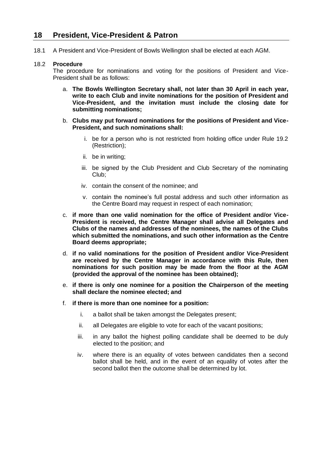# **18 President, Vice-President & Patron**

18.1 A President and Vice-President of Bowls Wellington shall be elected at each AGM.

#### 18.2 **Procedure**

The procedure for nominations and voting for the positions of President and Vice-President shall be as follows:

- a. **The Bowls Wellington Secretary shall, not later than 30 April in each year, write to each Club and invite nominations for the position of President and Vice-President, and the invitation must include the closing date for submitting nominations;**
- b. **Clubs may put forward nominations for the positions of President and Vice-President, and such nominations shall:**
	- i. be for a person who is not restricted from holding office under Rule 19.2 (Restriction);
	- ii. be in writing;
	- iii. be signed by the Club President and Club Secretary of the nominating Club;
	- iv. contain the consent of the nominee; and
	- v. contain the nominee's full postal address and such other information as the Centre Board may request in respect of each nomination;
- c. **if more than one valid nomination for the office of President and/or Vice-President is received, the Centre Manager shall advise all Delegates and Clubs of the names and addresses of the nominees, the names of the Clubs which submitted the nominations, and such other information as the Centre Board deems appropriate;**
- d. **if no valid nominations for the position of President and/or Vice-President are received by the Centre Manager in accordance with this Rule, then nominations for such position may be made from the floor at the AGM (provided the approval of the nominee has been obtained);**
- e. **if there is only one nominee for a position the Chairperson of the meeting shall declare the nominee elected; and**
- f. **if there is more than one nominee for a position:**
	- i. a ballot shall be taken amongst the Delegates present;
	- ii. all Delegates are eligible to vote for each of the vacant positions;
	- iii. in any ballot the highest polling candidate shall be deemed to be duly elected to the position; and
	- iv. where there is an equality of votes between candidates then a second ballot shall be held, and in the event of an equality of votes after the second ballot then the outcome shall be determined by lot.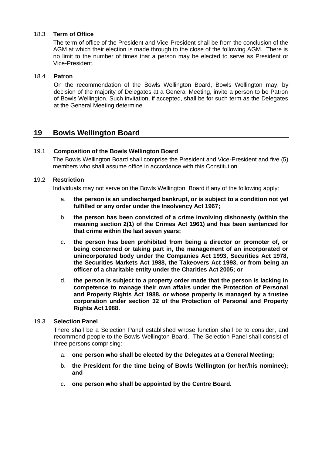# 18.3 **Term of Office**

The term of office of the President and Vice-President shall be from the conclusion of the AGM at which their election is made through to the close of the following AGM. There is no limit to the number of times that a person may be elected to serve as President or Vice-President.

#### 18.4 **Patron**

On the recommendation of the Bowls Wellington Board, Bowls Wellington may, by decision of the majority of Delegates at a General Meeting, invite a person to be Patron of Bowls Wellington. Such invitation, if accepted, shall be for such term as the Delegates at the General Meeting determine.

# **19 Bowls Wellington Board**

# 19.1 **Composition of the Bowls Wellington Board**

The Bowls Wellington Board shall comprise the President and Vice-President and five (5) members who shall assume office in accordance with this Constitution.

### 19.2 **Restriction**

Individuals may not serve on the Bowls Wellington Board if any of the following apply:

- a. **the person is an undischarged bankrupt, or is subject to a condition not yet fulfilled or any order under the Insolvency Act 1967;**
- b. **the person has been convicted of a crime involving dishonesty (within the meaning section 2(1) of the Crimes Act 1961) and has been sentenced for that crime within the last seven years;**
- c. **the person has been prohibited from being a director or promoter of, or being concerned or taking part in, the management of an incorporated or unincorporated body under the Companies Act 1993, Securities Act 1978, the Securities Markets Act 1988, the Takeovers Act 1993, or from being an officer of a charitable entity under the Charities Act 2005; or**
- d. **the person is subject to a property order made that the person is lacking in competence to manage their own affairs under the Protection of Personal and Property Rights Act 1988, or whose property is managed by a trustee corporation under section 32 of the Protection of Personal and Property Rights Act 1988.**

#### 19.3 **Selection Panel**

There shall be a Selection Panel established whose function shall be to consider, and recommend people to the Bowls Wellington Board. The Selection Panel shall consist of three persons comprising:

- <span id="page-25-0"></span>a. **one person who shall be elected by the Delegates at a General Meeting;**
- b. **the President for the time being of Bowls Wellington (or her/his nominee); and**
- c. **one person who shall be appointed by the Centre Board.**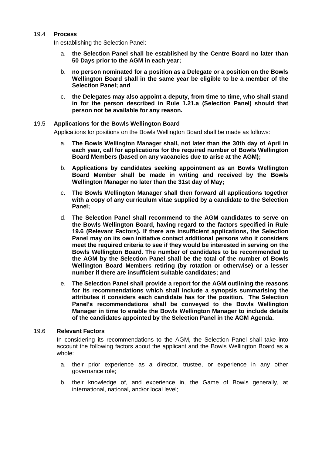#### 19.4 **Process**

In establishing the Selection Panel:

- a. **the Selection Panel shall be established by the Centre Board no later than 50 Days prior to the AGM in each year;**
- b. **no person nominated for a position as a Delegate or a position on the Bowls Wellington Board shall in the same year be eligible to be a member of the Selection Panel; and**
- c. **the Delegates may also appoint a deputy, from time to time, who shall stand in for the person described in Rule [1.21.a](#page-25-0) (Selection Panel) should that person not be available for any reason.**

#### 19.5 **Applications for the Bowls Wellington Board**

Applications for positions on the Bowls Wellington Board shall be made as follows:

- a. **The Bowls Wellington Manager shall, not later than the 30th day of April in each year, call for applications for the required number of Bowls Wellington Board Members (based on any vacancies due to arise at the AGM);**
- b. **Applications by candidates seeking appointment as an Bowls Wellington Board Member shall be made in writing and received by the Bowls Wellington Manager no later than the 31st day of May;**
- c. **The Bowls Wellington Manager shall then forward all applications together with a copy of any curriculum vitae supplied by a candidate to the Selection Panel;**
- d. **The Selection Panel shall recommend to the AGM candidates to serve on the Bowls Wellington Board, having regard to the factors specified in Rule 19.6 (Relevant Factors). If there are insufficient applications, the Selection Panel may on its own initiative contact additional persons who it considers meet the required criteria to see if they would be interested in serving on the Bowls Wellington Board. The number of candidates to be recommended to the AGM by the Selection Panel shall be the total of the number of Bowls Wellington Board Members retiring (by rotation or otherwise) or a lesser number if there are insufficient suitable candidates; and**
- e. **The Selection Panel shall provide a report for the AGM outlining the reasons for its recommendations which shall include a synopsis summarising the attributes it considers each candidate has for the position. The Selection Panel's recommendations shall be conveyed to the Bowls Wellington Manager in time to enable the Bowls Wellington Manager to include details of the candidates appointed by the Selection Panel in the AGM Agenda.**

#### 19.6 **Relevant Factors**

In considering its recommendations to the AGM, the Selection Panel shall take into account the following factors about the applicant and the Bowls Wellington Board as a whole:

- a. their prior experience as a director, trustee, or experience in any other governance role;
- b. their knowledge of, and experience in, the Game of Bowls generally, at international, national, and/or local level;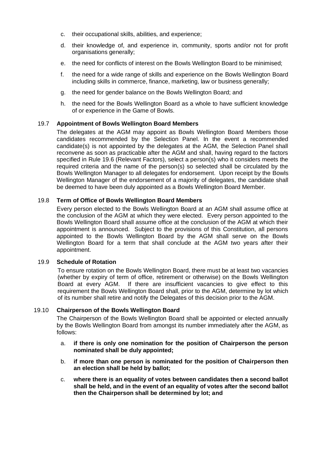- c. their occupational skills, abilities, and experience;
- d. their knowledge of, and experience in, community, sports and/or not for profit organisations generally;
- e. the need for conflicts of interest on the Bowls Wellington Board to be minimised;
- f. the need for a wide range of skills and experience on the Bowls Wellington Board including skills in commerce, finance, marketing, law or business generally;
- g. the need for gender balance on the Bowls Wellington Board; and
- h. the need for the Bowls Wellington Board as a whole to have sufficient knowledge of or experience in the Game of Bowls.

#### 19.7 **Appointment of Bowls Wellington Board Members**

The delegates at the AGM may appoint as Bowls Wellington Board Members those candidates recommended by the Selection Panel. In the event a recommended candidate(s) is not appointed by the delegates at the AGM, the Selection Panel shall reconvene as soon as practicable after the AGM and shall, having regard to the factors specified in Rule 19.6 (Relevant Factors), select a person(s) who it considers meets the required criteria and the name of the person(s) so selected shall be circulated by the Bowls Wellington Manager to all delegates for endorsement. Upon receipt by the Bowls Wellington Manager of the endorsement of a majority of delegates, the candidate shall be deemed to have been duly appointed as a Bowls Wellington Board Member.

#### 19.8 **Term of Office of Bowls Wellington Board Members**

Every person elected to the Bowls Wellington Board at an AGM shall assume office at the conclusion of the AGM at which they were elected. Every person appointed to the Bowls Wellington Board shall assume office at the conclusion of the AGM at which their appointment is announced. Subject to the provisions of this Constitution, all persons appointed to the Bowls Wellington Board by the AGM shall serve on the Bowls Wellington Board for a term that shall conclude at the AGM two years after their appointment.

#### 19.9 **Schedule of Rotation**

To ensure rotation on the Bowls Wellington Board, there must be at least two vacancies (whether by expiry of term of office, retirement or otherwise) on the Bowls Wellington Board at every AGM. If there are insufficient vacancies to give effect to this requirement the Bowls Wellington Board shall, prior to the AGM, determine by lot which of its number shall retire and notify the Delegates of this decision prior to the AGM.

#### 19.10 **Chairperson of the Bowls Wellington Board**

The Chairperson of the Bowls Wellington Board shall be appointed or elected annually by the Bowls Wellington Board from amongst its number immediately after the AGM, as follows:

- a. **if there is only one nomination for the position of Chairperson the person nominated shall be duly appointed;**
- b. **if more than one person is nominated for the position of Chairperson then an election shall be held by ballot;**
- c. **where there is an equality of votes between candidates then a second ballot shall be held, and in the event of an equality of votes after the second ballot then the Chairperson shall be determined by lot; and**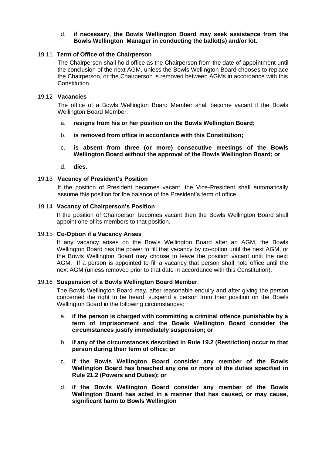## d. **if necessary, the Bowls Wellington Board may seek assistance from the Bowls Wellington Manager in conducting the ballot(s) and/or lot.**

### 19.11 **Term of Office of the Chairperson**

The Chairperson shall hold office as the Chairperson from the date of appointment until the conclusion of the next AGM, unless the Bowls Wellington Board chooses to replace the Chairperson, or the Chairperson is removed between AGMs in accordance with this Constitution.

#### 19.12 **Vacancies**

The office of a Bowls Wellington Board Member shall become vacant if the Bowls Wellington Board Member:

- a. **resigns from his or her position on the Bowls Wellington Board;**
- b. **is removed from office in accordance with this Constitution;**
- c. **is absent from three (or more) consecutive meetings of the Bowls Wellington Board without the approval of the Bowls Wellington Board; or**
- d. **dies.**

# 19.13 **Vacancy of President's Position**

If the position of President becomes vacant, the Vice-President shall automatically assume this position for the balance of the President's term of office.

#### 19.14 **Vacancy of Chairperson's Position**

If the position of Chairperson becomes vacant then the Bowls Wellington Board shall appoint one of its members to that position.

#### 19.15 **Co-Option if a Vacancy Arises**

If any vacancy arises on the Bowls Wellington Board after an AGM, the Bowls Wellington Board has the power to fill that vacancy by co-option until the next AGM, or the Bowls Wellington Board may choose to leave the position vacant until the next AGM. If a person is appointed to fill a vacancy that person shall hold office until the next AGM (unless removed prior to that date in accordance with this Constitution).

#### 19.16 **Suspension of a Bowls Wellington Board Member**:

The Bowls Wellington Board may, after reasonable enquiry and after giving the person concerned the right to be heard, suspend a person from their position on the Bowls Wellington Board in the following circumstances:

- a. **if the person is charged with committing a criminal offence punishable by a term of imprisonment and the Bowls Wellington Board consider the circumstances justify immediately suspension; or**
- b. **if any of the circumstances described in Rule 19.2 (Restriction) occur to that person during their term of office; or**
- c. **if the Bowls Wellington Board consider any member of the Bowls Wellington Board has breached any one or more of the duties specified in Rule 21.2 (Powers and Duties); or**
- d. **if the Bowls Wellington Board consider any member of the Bowls Wellington Board has acted in a manner that has caused, or may cause, significant harm to Bowls Wellington**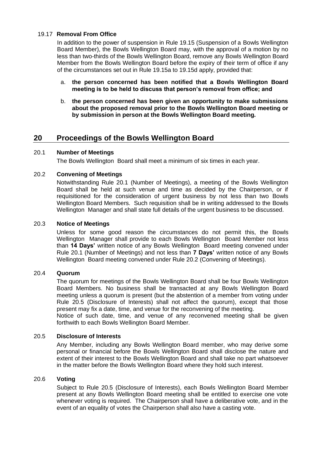# 19.17 **Removal From Office**

In addition to the power of suspension in Rule 19.15 (Suspension of a Bowls Wellington Board Member), the Bowls Wellington Board may, with the approval of a motion by no less than two-thirds of the Bowls Wellington Board, remove any Bowls Wellington Board Member from the Bowls Wellington Board before the expiry of their term of office if any of the circumstances set out in Rule 19.15a to 19.15d apply, provided that:

- a. **the person concerned has been notified that a Bowls Wellington Board meeting is to be held to discuss that person's removal from office; and**
- b. **the person concerned has been given an opportunity to make submissions about the proposed removal prior to the Bowls Wellington Board meeting or by submission in person at the Bowls Wellington Board meeting.**

# **20 Proceedings of the Bowls Wellington Board**

# 20.1 **Number of Meetings**

The Bowls Wellington Board shall meet a minimum of six times in each year.

# 20.2 **Convening of Meetings**

Notwithstanding Rule 20.1 (Number of Meetings), a meeting of the Bowls Wellington Board shall be held at such venue and time as decided by the Chairperson, or if requisitioned for the consideration of urgent business by not less than two Bowls Wellington Board Members. Such requisition shall be in writing addressed to the Bowls Wellington Manager and shall state full details of the urgent business to be discussed.

# 20.3 **Notice of Meetings**

Unless for some good reason the circumstances do not permit this, the Bowls Wellington Manager shall provide to each Bowls Wellington Board Member not less than **14 Days'** written notice of any Bowls Wellington Board meeting convened under Rule 20.1 (Number of Meetings) and not less than **7 Days'** written notice of any Bowls Wellington Board meeting convened under Rule 20.2 (Convening of Meetings).

# 20.4 **Quorum**

The quorum for meetings of the Bowls Wellington Board shall be four Bowls Wellington Board Members. No business shall be transacted at any Bowls Wellington Board meeting unless a quorum is present (but the abstention of a member from voting under Rule 20.5 (Disclosure of Interests) shall not affect the quorum), except that those present may fix a date, time, and venue for the reconvening of the meeting.

Notice of such date, time, and venue of any reconvened meeting shall be given forthwith to each Bowls Wellington Board Member.

# 20.5 **Disclosure of Interests**

Any Member, including any Bowls Wellington Board member, who may derive some personal or financial before the Bowls Wellington Board shall disclose the nature and extent of their interest to the Bowls Wellington Board and shall take no part whatsoever in the matter before the Bowls Wellington Board where they hold such interest.

# 20.6 **Voting**

Subject to Rule 20.5 (Disclosure of Interests), each Bowls Wellington Board Member present at any Bowls Wellington Board meeting shall be entitled to exercise one vote whenever voting is required. The Chairperson shall have a deliberative vote, and in the event of an equality of votes the Chairperson shall also have a casting vote.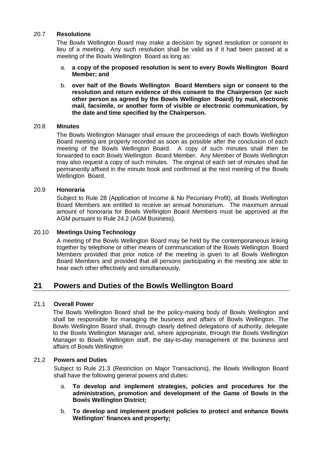#### 20.7 **Resolutions**

The Bowls Wellington Board may make a decision by signed resolution or consent in lieu of a meeting. Any such resolution shall be valid as if it had been passed at a meeting of the Bowls Wellington Board as long as:

- a. **a copy of the proposed resolution is sent to every Bowls Wellington Board Member; and**
- b. **over half of the Bowls Wellington Board Members sign or consent to the resolution and return evidence of this consent to the Chairperson (or such other person as agreed by the Bowls Wellington Board) by mail, electronic mail, facsimile, or another form of visible or electronic communication, by the date and time specified by the Chairperson.**

# 20.8 **Minutes**

The Bowls Wellington Manager shall ensure the proceedings of each Bowls Wellington Board meeting are properly recorded as soon as possible after the conclusion of each meeting of the Bowls Wellington Board. A copy of such minutes shall then be forwarded to each Bowls Wellington Board Member. Any Member of Bowls Wellington may also request a copy of such minutes. The original of each set of minutes shall be permanently affixed in the minute book and confirmed at the next meeting of the Bowls Wellington Board.

#### 20.9 **Honoraria**

Subject to Rule 28 (Application of Income & No Pecuniary Profit), all Bowls Wellington Board Members are entitled to receive an annual honorarium. The maximum annual amount of honoraria for Bowls Wellington Board Members must be approved at the AGM pursuant to Rule 24.2 (AGM Business).

# 20.10 **Meetings Using Technology**

A meeting of the Bowls Wellington Board may be held by the contemporaneous linking together by telephone or other means of communication of the Bowls Wellington Board Members provided that prior notice of the meeting is given to all Bowls Wellington Board Members and provided that all persons participating in the meeting are able to hear each other effectively and simultaneously.

# **21 Powers and Duties of the Bowls Wellington Board**

# 21.1 **Overall Power**

The Bowls Wellington Board shall be the policy-making body of Bowls Wellington and shall be responsible for managing the business and affairs of Bowls Wellington. The Bowls Wellington Board shall, through clearly defined delegations of authority, delegate to the Bowls Wellington Manager and, where appropriate, through the Bowls Wellington Manager to Bowls Wellington staff, the day-to-day management of the business and affairs of Bowls Wellington

#### 21.2 **Powers and Duties**

Subject to Rule 21.3 (Restriction on Major Transactions), the Bowls Wellington Board shall have the following general powers and duties:

- a. **To develop and implement strategies, policies and procedures for the administration, promotion and development of the Game of Bowls in the Bowls Wellington District;**
- b. **To develop and implement prudent policies to protect and enhance Bowls Wellington' finances and property;**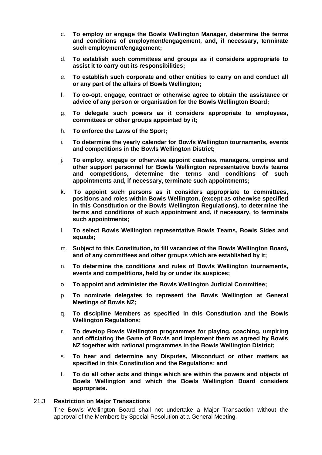- c. **To employ or engage the Bowls Wellington Manager, determine the terms and conditions of employment/engagement, and, if necessary, terminate such employment/engagement;**
- d. **To establish such committees and groups as it considers appropriate to assist it to carry out its responsibilities;**
- e. **To establish such corporate and other entities to carry on and conduct all or any part of the affairs of Bowls Wellington;**
- f. **To co-opt, engage, contract or otherwise agree to obtain the assistance or advice of any person or organisation for the Bowls Wellington Board;**
- g. **To delegate such powers as it considers appropriate to employees, committees or other groups appointed by it;**
- h. **To enforce the Laws of the Sport;**
- i. **To determine the yearly calendar for Bowls Wellington tournaments, events and competitions in the Bowls Wellington District;**
- j. **To employ, engage or otherwise appoint coaches, managers, umpires and other support personnel for Bowls Wellington representative bowls teams and competitions, determine the terms and conditions of such appointments and, if necessary, terminate such appointments;**
- k. **To appoint such persons as it considers appropriate to committees, positions and roles within Bowls Wellington, (except as otherwise specified in this Constitution or the Bowls Wellington Regulations), to determine the terms and conditions of such appointment and, if necessary, to terminate such appointments;**
- l. **To select Bowls Wellington representative Bowls Teams, Bowls Sides and squads;**
- m. **Subject to this Constitution, to fill vacancies of the Bowls Wellington Board, and of any committees and other groups which are established by it;**
- n. **To determine the conditions and rules of Bowls Wellington tournaments, events and competitions, held by or under its auspices;**
- o. **To appoint and administer the Bowls Wellington Judicial Committee;**
- p. **To nominate delegates to represent the Bowls Wellington at General Meetings of Bowls NZ;**
- q. **To discipline Members as specified in this Constitution and the Bowls Wellington Regulations;**
- r. **To develop Bowls Wellington programmes for playing, coaching, umpiring and officiating the Game of Bowls and implement them as agreed by Bowls NZ together with national programmes in the Bowls Wellington District;**
- s. **To hear and determine any Disputes, Misconduct or other matters as specified in this Constitution and the Regulations; and**
- t. **To do all other acts and things which are within the powers and objects of Bowls Wellington and which the Bowls Wellington Board considers appropriate.**

#### 21.3 **Restriction on Major Transactions**

The Bowls Wellington Board shall not undertake a Major Transaction without the approval of the Members by Special Resolution at a General Meeting.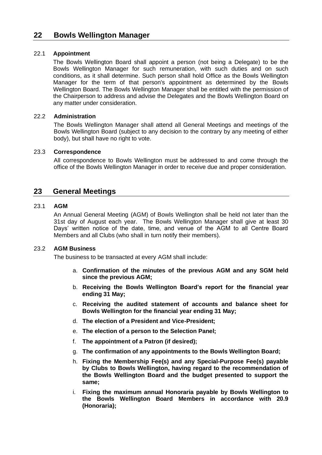# 22.1 **Appointment**

The Bowls Wellington Board shall appoint a person (not being a Delegate) to be the Bowls Wellington Manager for such remuneration, with such duties and on such conditions, as it shall determine. Such person shall hold Office as the Bowls Wellington Manager for the term of that person's appointment as determined by the Bowls Wellington Board. The Bowls Wellington Manager shall be entitled with the permission of the Chairperson to address and advise the Delegates and the Bowls Wellington Board on any matter under consideration.

# 22.2 **Administration**

The Bowls Wellington Manager shall attend all General Meetings and meetings of the Bowls Wellington Board (subject to any decision to the contrary by any meeting of either body), but shall have no right to vote.

# 23.3 **Correspondence**

All correspondence to Bowls Wellington must be addressed to and come through the office of the Bowls Wellington Manager in order to receive due and proper consideration.

# **23 General Meetings**

# 23.1 **AGM**

An Annual General Meeting (AGM) of Bowls Wellington shall be held not later than the 31st day of August each year. The Bowls Wellington Manager shall give at least 30 Days' written notice of the date, time, and venue of the AGM to all Centre Board Members and all Clubs (who shall in turn notify their members).

# 23.2 **AGM Business**

The business to be transacted at every AGM shall include:

- a. **Confirmation of the minutes of the previous AGM and any SGM held since the previous AGM;**
- b. **Receiving the Bowls Wellington Board's report for the financial year ending 31 May;**
- c. **Receiving the audited statement of accounts and balance sheet for Bowls Wellington for the financial year ending 31 May;**
- d. **The election of a President and Vice-President;**
- e. **The election of a person to the Selection Panel;**
- f. **The appointment of a Patron (if desired);**
- g. **The confirmation of any appointments to the Bowls Wellington Board;**
- h. **Fixing the Membership Fee(s) and any Special-Purpose Fee(s) payable by Clubs to Bowls Wellington, having regard to the recommendation of the Bowls Wellington Board and the budget presented to support the same;**
- i. **Fixing the maximum annual Honoraria payable by Bowls Wellington to the Bowls Wellington Board Members in accordance with 20.9 (Honoraria);**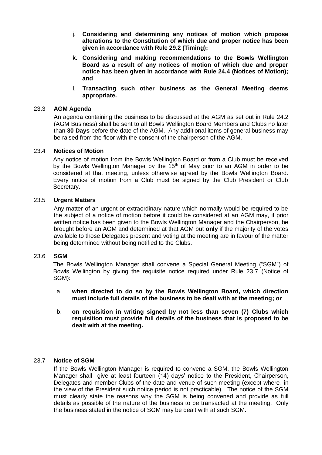- j. **Considering and determining any notices of motion which propose alterations to the Constitution of which due and proper notice has been given in accordance with Rule 29.2 (Timing);**
- k. **Considering and making recommendations to the Bowls Wellington Board as a result of any notices of motion of which due and proper notice has been given in accordance with Rule 24.4 (Notices of Motion); and**
- l. **Transacting such other business as the General Meeting deems appropriate.**

### 23.3 **AGM Agenda**

An agenda containing the business to be discussed at the AGM as set out in Rule 24.2 (AGM Business) shall be sent to all Bowls Wellington Board Members and Clubs no later than **30 Days** before the date of the AGM. Any additional items of general business may be raised from the floor with the consent of the chairperson of the AGM.

#### 23.4 **Notices of Motion**

Any notice of motion from the Bowls Wellington Board or from a Club must be received by the Bowls Wellington Manager by the 15<sup>th</sup> of May prior to an AGM in order to be considered at that meeting, unless otherwise agreed by the Bowls Wellington Board. Every notice of motion from a Club must be signed by the Club President or Club Secretary.

#### 23.5 **Urgent Matters**

Any matter of an urgent or extraordinary nature which normally would be required to be the subject of a notice of motion before it could be considered at an AGM may, if prior written notice has been given to the Bowls Wellington Manager and the Chairperson, be brought before an AGM and determined at that AGM but **only** if the majority of the votes available to those Delegates present and voting at the meeting are in favour of the matter being determined without being notified to the Clubs.

#### 23.6 **SGM**

The Bowls Wellington Manager shall convene a Special General Meeting ("SGM") of Bowls Wellington by giving the requisite notice required under Rule 23.7 (Notice of SGM):

- a. **when directed to do so by the Bowls Wellington Board, which direction must include full details of the business to be dealt with at the meeting; or**
- b. **on requisition in writing signed by not less than seven (7) Clubs which requisition must provide full details of the business that is proposed to be dealt with at the meeting.**

#### 23.7 **Notice of SGM**

If the Bowls Wellington Manager is required to convene a SGM, the Bowls Wellington Manager shall give at least fourteen (14) days' notice to the President, Chairperson, Delegates and member Clubs of the date and venue of such meeting (except where, in the view of the President such notice period is not practicable). The notice of the SGM must clearly state the reasons why the SGM is being convened and provide as full details as possible of the nature of the business to be transacted at the meeting. Only the business stated in the notice of SGM may be dealt with at such SGM.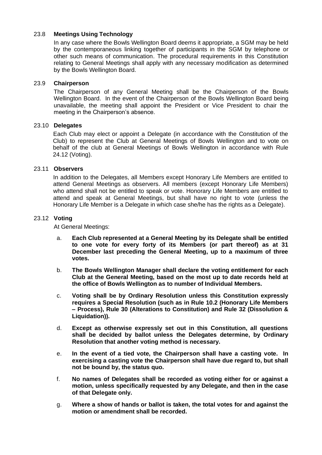# 23.8 **Meetings Using Technology**

In any case where the Bowls Wellington Board deems it appropriate, a SGM may be held by the contemporaneous linking together of participants in the SGM by telephone or other such means of communication. The procedural requirements in this Constitution relating to General Meetings shall apply with any necessary modification as determined by the Bowls Wellington Board.

### 23.9 **Chairperson**

The Chairperson of any General Meeting shall be the Chairperson of the Bowls Wellington Board. In the event of the Chairperson of the Bowls Wellington Board being unavailable, the meeting shall appoint the President or Vice President to chair the meeting in the Chairperson's absence.

#### 23.10 **Delegates**

Each Club may elect or appoint a Delegate (in accordance with the Constitution of the Club) to represent the Club at General Meetings of Bowls Wellington and to vote on behalf of the club at General Meetings of Bowls Wellington in accordance with Rule 24.12 (Voting).

#### 23.11 **Observers**

In addition to the Delegates, all Members except Honorary Life Members are entitled to attend General Meetings as observers. All members (except Honorary Life Members) who attend shall not be entitled to speak or vote. Honorary Life Members are entitled to attend and speak at General Meetings, but shall have no right to vote (unless the Honorary Life Member is a Delegate in which case she/he has the rights as a Delegate).

#### 23.12 **Voting**

At General Meetings:

- a. **Each Club represented at a General Meeting by its Delegate shall be entitled to one vote for every forty of its Members (or part thereof) as at 31 December last preceding the General Meeting, up to a maximum of three votes.**
- b. **The Bowls Wellington Manager shall declare the voting entitlement for each Club at the General Meeting, based on the most up to date records held at the office of Bowls Wellington as to number of Individual Members.**
- c. **Voting shall be by Ordinary Resolution unless this Constitution expressly requires a Special Resolution (such as in Rule 10.2 (Honorary Life Members – Process), Rule 30 (Alterations to Constitution) and Rule 32 (Dissolution & Liquidation)).**
- d. **Except as otherwise expressly set out in this Constitution, all questions shall be decided by ballot unless the Delegates determine, by Ordinary Resolution that another voting method is necessary.**
- e. **In the event of a tied vote, the Chairperson shall have a casting vote. In exercising a casting vote the Chairperson shall have due regard to, but shall not be bound by, the status quo.**
- f. **No names of Delegates shall be recorded as voting either for or against a motion, unless specifically requested by any Delegate, and then in the case of that Delegate only.**
- g. **Where a show of hands or ballot is taken, the total votes for and against the motion or amendment shall be recorded.**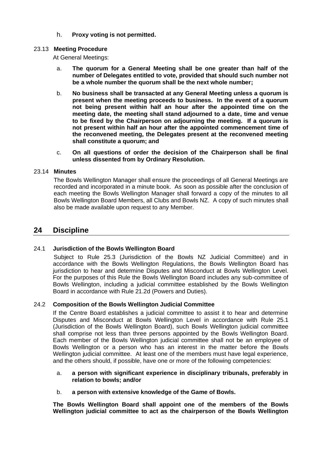h. **Proxy voting is not permitted.**

# 23.13 **Meeting Procedure**

At General Meetings:

- a. **The quorum for a General Meeting shall be one greater than half of the number of Delegates entitled to vote, provided that should such number not be a whole number the quorum shall be the next whole number;**
- b. **No business shall be transacted at any General Meeting unless a quorum is present when the meeting proceeds to business. In the event of a quorum not being present within half an hour after the appointed time on the meeting date, the meeting shall stand adjourned to a date, time and venue to be fixed by the Chairperson on adjourning the meeting. If a quorum is not present within half an hour after the appointed commencement time of the reconvened meeting, the Delegates present at the reconvened meeting shall constitute a quorum; and**
- c. **On all questions of order the decision of the Chairperson shall be final unless dissented from by Ordinary Resolution.**

# 23.14 **Minutes**

The Bowls Wellington Manager shall ensure the proceedings of all General Meetings are recorded and incorporated in a minute book. As soon as possible after the conclusion of each meeting the Bowls Wellington Manager shall forward a copy of the minutes to all Bowls Wellington Board Members, all Clubs and Bowls NZ. A copy of such minutes shall also be made available upon request to any Member.

# **24 Discipline**

# 24.1 **Jurisdiction of the Bowls Wellington Board**

Subject to Rule 25.3 (Jurisdiction of the Bowls NZ Judicial Committee) and in accordance with the Bowls Wellington Regulations, the Bowls Wellington Board has jurisdiction to hear and determine Disputes and Misconduct at Bowls Wellington Level. For the purposes of this Rule the Bowls Wellington Board includes any sub-committee of Bowls Wellington, including a judicial committee established by the Bowls Wellington Board in accordance with Rule 21.2d (Powers and Duties).

# 24.2 **Composition of the Bowls Wellington Judicial Committee**

If the Centre Board establishes a judicial committee to assist it to hear and determine Disputes and Misconduct at Bowls Wellington Level in accordance with Rule 25.1 (Jurisdiction of the Bowls Wellington Board), such Bowls Wellington judicial committee shall comprise not less than three persons appointed by the Bowls Wellington Board. Each member of the Bowls Wellington judicial committee shall not be an employee of Bowls Wellington or a person who has an interest in the matter before the Bowls Wellington judicial committee. At least one of the members must have legal experience, and the others should, if possible, have one or more of the following competencies:

- a. **a person with significant experience in disciplinary tribunals, preferably in relation to bowls; and/or**
- b. **a person with extensive knowledge of the Game of Bowls.**

**The Bowls Wellington Board shall appoint one of the members of the Bowls Wellington judicial committee to act as the chairperson of the Bowls Wellington**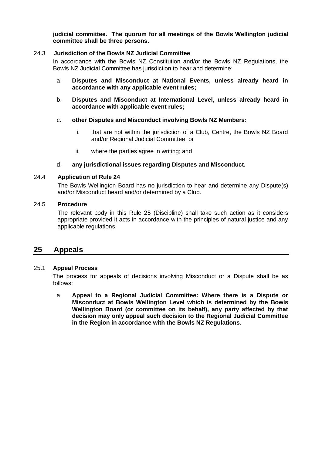**judicial committee. The quorum for all meetings of the Bowls Wellington judicial committee shall be three persons.** 

#### 24.3 **Jurisdiction of the Bowls NZ Judicial Committee**

In accordance with the Bowls NZ Constitution and/or the Bowls NZ Regulations, the Bowls NZ Judicial Committee has jurisdiction to hear and determine:

- a. **Disputes and Misconduct at National Events, unless already heard in accordance with any applicable event rules;**
- b. **Disputes and Misconduct at International Level, unless already heard in accordance with applicable event rules;**
- c. **other Disputes and Misconduct involving Bowls NZ Members:**
	- i. that are not within the jurisdiction of a Club, Centre, the Bowls NZ Board and/or Regional Judicial Committee; or
	- ii. where the parties agree in writing; and

#### d. **any jurisdictional issues regarding Disputes and Misconduct.**

#### 24.4 **Application of Rule 24**

The Bowls Wellington Board has no jurisdiction to hear and determine any Dispute(s) and/or Misconduct heard and/or determined by a Club.

#### 24.5 **Procedure**

The relevant body in this Rule 25 (Discipline) shall take such action as it considers appropriate provided it acts in accordance with the principles of natural justice and any applicable regulations.

# **25 Appeals**

#### 25.1 **Appeal Process**

The process for appeals of decisions involving Misconduct or a Dispute shall be as follows:

a. **Appeal to a Regional Judicial Committee: Where there is a Dispute or Misconduct at Bowls Wellington Level which is determined by the Bowls Wellington Board (or committee on its behalf), any party affected by that decision may only appeal such decision to the Regional Judicial Committee in the Region in accordance with the Bowls NZ Regulations.**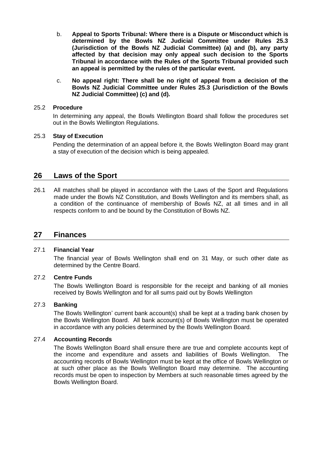- b. **Appeal to Sports Tribunal: Where there is a Dispute or Misconduct which is determined by the Bowls NZ Judicial Committee under Rules 25.3 (Jurisdiction of the Bowls NZ Judicial Committee) (a) and (b), any party affected by that decision may only appeal such decision to the Sports Tribunal in accordance with the Rules of the Sports Tribunal provided such an appeal is permitted by the rules of the particular event.**
- c. **No appeal right: There shall be no right of appeal from a decision of the Bowls NZ Judicial Committee under Rules 25.3 (Jurisdiction of the Bowls NZ Judicial Committee) (c) and (d).**

### 25.2 **Procedure**

In determining any appeal, the Bowls Wellington Board shall follow the procedures set out in the Bowls Wellington Regulations.

# 25.3 **Stay of Execution**

Pending the determination of an appeal before it, the Bowls Wellington Board may grant a stay of execution of the decision which is being appealed.

# **26 Laws of the Sport**

26.1 All matches shall be played in accordance with the Laws of the Sport and Regulations made under the Bowls NZ Constitution, and Bowls Wellington and its members shall, as a condition of the continuance of membership of Bowls NZ, at all times and in all respects conform to and be bound by the Constitution of Bowls NZ.

# **27 Finances**

#### 27.1 **Financial Year**

The financial year of Bowls Wellington shall end on 31 May, or such other date as determined by the Centre Board.

# 27.2 **Centre Funds**

The Bowls Wellington Board is responsible for the receipt and banking of all monies received by Bowls Wellington and for all sums paid out by Bowls Wellington

#### 27.3 **Banking**

The Bowls Wellington' current bank account(s) shall be kept at a trading bank chosen by the Bowls Wellington Board. All bank account(s) of Bowls Wellington must be operated in accordance with any policies determined by the Bowls Wellington Board.

# 27.4 **Accounting Records**

The Bowls Wellington Board shall ensure there are true and complete accounts kept of the income and expenditure and assets and liabilities of Bowls Wellington. The accounting records of Bowls Wellington must be kept at the office of Bowls Wellington or at such other place as the Bowls Wellington Board may determine. The accounting records must be open to inspection by Members at such reasonable times agreed by the Bowls Wellington Board.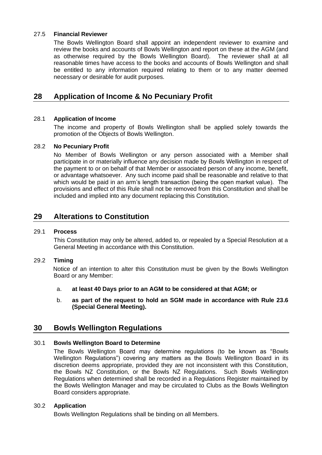# 27.5 **Financial Reviewer**

The Bowls Wellington Board shall appoint an independent reviewer to examine and review the books and accounts of Bowls Wellington and report on these at the AGM (and as otherwise required by the Bowls Wellington Board). The reviewer shall at all reasonable times have access to the books and accounts of Bowls Wellington and shall be entitled to any information required relating to them or to any matter deemed necessary or desirable for audit purposes.

# **28 Application of Income & No Pecuniary Profit**

# 28.1 **Application of Income**

The income and property of Bowls Wellington shall be applied solely towards the promotion of the Objects of Bowls Wellington.

#### 28.2 **No Pecuniary Profit**

No Member of Bowls Wellington or any person associated with a Member shall participate in or materially influence any decision made by Bowls Wellington in respect of the payment to or on behalf of that Member or associated person of any income, benefit, or advantage whatsoever. Any such income paid shall be reasonable and relative to that which would be paid in an arm's length transaction (being the open market value). The provisions and effect of this Rule shall not be removed from this Constitution and shall be included and implied into any document replacing this Constitution.

# **29 Alterations to Constitution**

#### 29.1 **Process**

This Constitution may only be altered, added to, or repealed by a Special Resolution at a General Meeting in accordance with this Constitution.

#### 29.2 **Timing**

Notice of an intention to alter this Constitution must be given by the Bowls Wellington Board or any Member:

- a. **at least 40 Days prior to an AGM to be considered at that AGM; or**
- b. **as part of the request to hold an SGM made in accordance with Rule 23.6 (Special General Meeting).**

# **30 Bowls Wellington Regulations**

#### 30.1 **Bowls Wellington Board to Determine**

The Bowls Wellington Board may determine regulations (to be known as "Bowls Wellington Regulations") covering any matters as the Bowls Wellington Board in its discretion deems appropriate, provided they are not inconsistent with this Constitution, the Bowls NZ Constitution, or the Bowls NZ Regulations. Such Bowls Wellington Regulations when determined shall be recorded in a Regulations Register maintained by the Bowls Wellington Manager and may be circulated to Clubs as the Bowls Wellington Board considers appropriate.

#### 30.2 **Application**

Bowls Wellington Regulations shall be binding on all Members.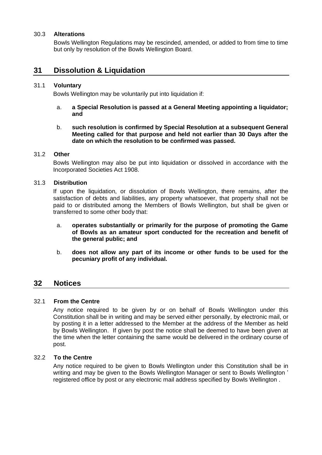#### 30.3 **Alterations**

Bowls Wellington Regulations may be rescinded, amended, or added to from time to time but only by resolution of the Bowls Wellington Board.

# **31 Dissolution & Liquidation**

#### 31.1 **Voluntary**

Bowls Wellington may be voluntarily put into liquidation if:

a. **a Special Resolution is passed at a General Meeting appointing a liquidator; and**

#### b. **such resolution is confirmed by Special Resolution at a subsequent General Meeting called for that purpose and held not earlier than 30 Days after the date on which the resolution to be confirmed was passed.**

#### 31.2 **Other**

Bowls Wellington may also be put into liquidation or dissolved in accordance with the Incorporated Societies Act 1908.

#### 31.3 **Distribution**

If upon the liquidation, or dissolution of Bowls Wellington, there remains, after the satisfaction of debts and liabilities, any property whatsoever, that property shall not be paid to or distributed among the Members of Bowls Wellington, but shall be given or transferred to some other body that:

- a. **operates substantially or primarily for the purpose of promoting the Game of Bowls as an amateur sport conducted for the recreation and benefit of the general public; and**
- b. **does not allow any part of its income or other funds to be used for the pecuniary profit of any individual.**

# **32 Notices**

#### 32.1 **From the Centre**

Any notice required to be given by or on behalf of Bowls Wellington under this Constitution shall be in writing and may be served either personally, by electronic mail, or by posting it in a letter addressed to the Member at the address of the Member as held by Bowls Wellington. If given by post the notice shall be deemed to have been given at the time when the letter containing the same would be delivered in the ordinary course of post.

#### 32.2 **To the Centre**

Any notice required to be given to Bowls Wellington under this Constitution shall be in writing and may be given to the Bowls Wellington Manager or sent to Bowls Wellington ' registered office by post or any electronic mail address specified by Bowls Wellington .